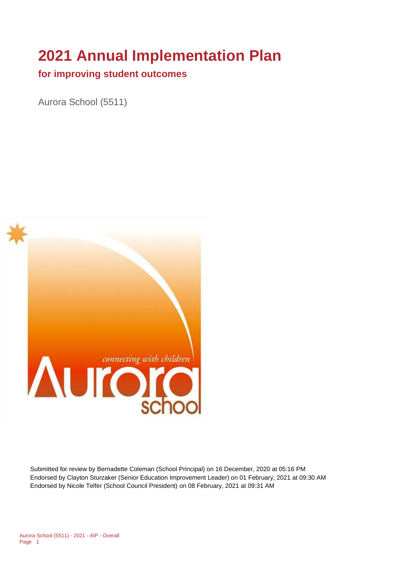# **2021 Annual Implementation Plan**

#### **for improving student outcomes**

Aurora School (5511)



Submitted for review by Bernadette Coleman (School Principal) on 16 December, 2020 at 05:16 PM Endorsed by Clayton Sturzaker (Senior Education Improvement Leader) on 01 February, 2021 at 09:30 AM Endorsed by Nicole Telfer (School Council President) on 08 February, 2021 at 09:31 AM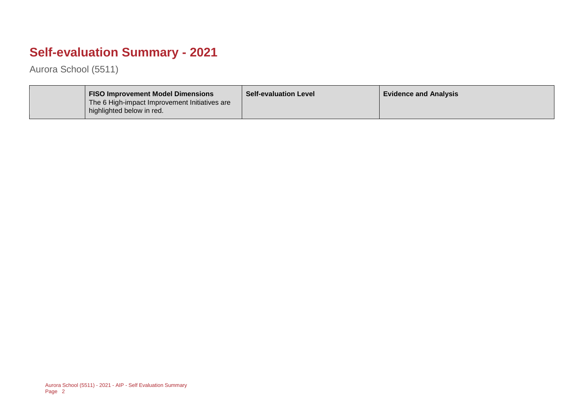## **Self-evaluation Summary - 2021**

Aurora School (5511)

| <b>FISO Improvement Model Dimensions</b><br>The 6 High-impact Improvement Initiatives are<br>highlighted below in red. | <b>Self-evaluation Level</b> | <b>Evidence and Analysis</b> |
|------------------------------------------------------------------------------------------------------------------------|------------------------------|------------------------------|
|------------------------------------------------------------------------------------------------------------------------|------------------------------|------------------------------|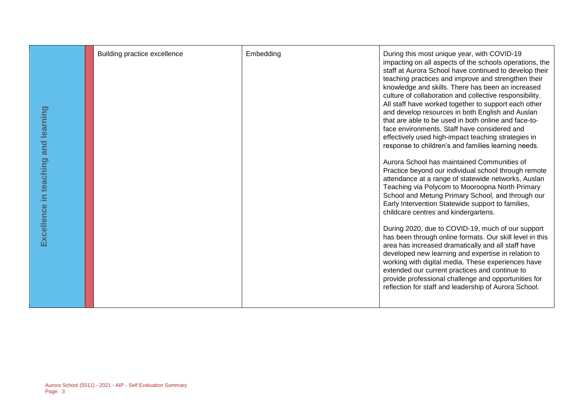| and learning<br>in teaching<br>Excellence | Building practice excellence | Embedding | During this most unique year, with COVID-19<br>impacting on all aspects of the schools operations, the<br>staff at Aurora School have continued to develop their<br>teaching practices and improve and strengthen their<br>knowledge and skills. There has been an increased<br>culture of collaboration and collective responsibility.<br>All staff have worked together to support each other<br>and develop resources in both English and Auslan<br>that are able to be used in both online and face-to-<br>face environments. Staff have considered and<br>effectively used high-impact teaching strategies in<br>response to children's and families learning needs.<br>Aurora School has maintained Communities of<br>Practice beyond our individual school through remote<br>attendance at a range of statewide networks, Auslan<br>Teaching via Polycom to Mooroopna North Primary<br>School and Metung Primary School, and through our<br>Early Intervention Statewide support to families,<br>childcare centres and kindergartens.<br>During 2020, due to COVID-19, much of our support<br>has been through online formats. Our skill level in this<br>area has increased dramatically and all staff have<br>developed new learning and expertise in relation to<br>working with digital media. These experiences have<br>extended our current practices and continue to<br>provide professional challenge and opportunities for<br>reflection for staff and leadership of Aurora School. |
|-------------------------------------------|------------------------------|-----------|-----------------------------------------------------------------------------------------------------------------------------------------------------------------------------------------------------------------------------------------------------------------------------------------------------------------------------------------------------------------------------------------------------------------------------------------------------------------------------------------------------------------------------------------------------------------------------------------------------------------------------------------------------------------------------------------------------------------------------------------------------------------------------------------------------------------------------------------------------------------------------------------------------------------------------------------------------------------------------------------------------------------------------------------------------------------------------------------------------------------------------------------------------------------------------------------------------------------------------------------------------------------------------------------------------------------------------------------------------------------------------------------------------------------------------------------------------------------------------------------------------|
|-------------------------------------------|------------------------------|-----------|-----------------------------------------------------------------------------------------------------------------------------------------------------------------------------------------------------------------------------------------------------------------------------------------------------------------------------------------------------------------------------------------------------------------------------------------------------------------------------------------------------------------------------------------------------------------------------------------------------------------------------------------------------------------------------------------------------------------------------------------------------------------------------------------------------------------------------------------------------------------------------------------------------------------------------------------------------------------------------------------------------------------------------------------------------------------------------------------------------------------------------------------------------------------------------------------------------------------------------------------------------------------------------------------------------------------------------------------------------------------------------------------------------------------------------------------------------------------------------------------------------|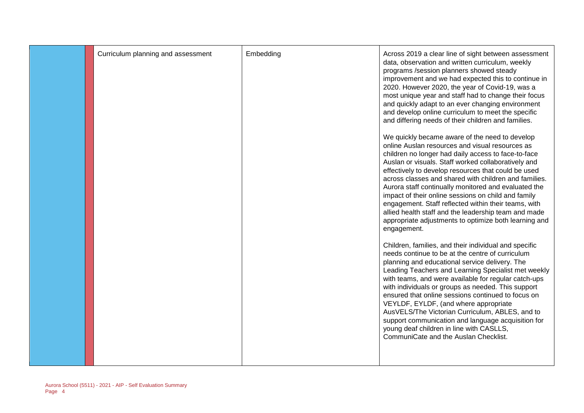| Curriculum planning and assessment | Embedding | Across 2019 a clear line of sight between assessment<br>data, observation and written curriculum, weekly<br>programs /session planners showed steady<br>improvement and we had expected this to continue in<br>2020. However 2020, the year of Covid-19, was a<br>most unique year and staff had to change their focus<br>and quickly adapt to an ever changing environment<br>and develop online curriculum to meet the specific<br>and differing needs of their children and families.<br>We quickly became aware of the need to develop<br>online Auslan resources and visual resources as<br>children no longer had daily access to face-to-face<br>Auslan or visuals. Staff worked collaboratively and<br>effectively to develop resources that could be used<br>across classes and shared with children and families.<br>Aurora staff continually monitored and evaluated the<br>impact of their online sessions on child and family<br>engagement. Staff reflected within their teams, with<br>allied health staff and the leadership team and made<br>appropriate adjustments to optimize both learning and<br>engagement.<br>Children, families, and their individual and specific<br>needs continue to be at the centre of curriculum<br>planning and educational service delivery. The<br>Leading Teachers and Learning Specialist met weekly<br>with teams, and were available for regular catch-ups<br>with individuals or groups as needed. This support<br>ensured that online sessions continued to focus on<br>VEYLDF, EYLDF, (and where appropriate<br>AusVELS/The Victorian Curriculum, ABLES, and to<br>support communication and language acquisition for<br>young deaf children in line with CASLLS,<br>CommuniCate and the Auslan Checklist. |
|------------------------------------|-----------|---------------------------------------------------------------------------------------------------------------------------------------------------------------------------------------------------------------------------------------------------------------------------------------------------------------------------------------------------------------------------------------------------------------------------------------------------------------------------------------------------------------------------------------------------------------------------------------------------------------------------------------------------------------------------------------------------------------------------------------------------------------------------------------------------------------------------------------------------------------------------------------------------------------------------------------------------------------------------------------------------------------------------------------------------------------------------------------------------------------------------------------------------------------------------------------------------------------------------------------------------------------------------------------------------------------------------------------------------------------------------------------------------------------------------------------------------------------------------------------------------------------------------------------------------------------------------------------------------------------------------------------------------------------------------------------------------------------------------------------------------------------------|
|                                    |           |                                                                                                                                                                                                                                                                                                                                                                                                                                                                                                                                                                                                                                                                                                                                                                                                                                                                                                                                                                                                                                                                                                                                                                                                                                                                                                                                                                                                                                                                                                                                                                                                                                                                                                                                                                     |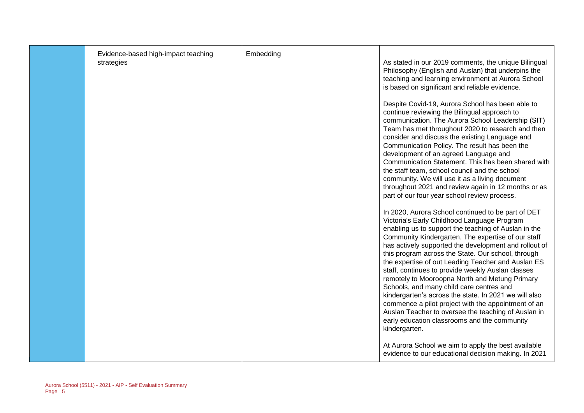| Evidence-based high-impact teaching<br>strategies | Embedding | As stated in our 2019 comments, the unique Bilingual<br>Philosophy (English and Auslan) that underpins the<br>teaching and learning environment at Aurora School<br>is based on significant and reliable evidence.                                                                                                                                                                                                                                                                                                                                                                                                                                                                                                                                             |
|---------------------------------------------------|-----------|----------------------------------------------------------------------------------------------------------------------------------------------------------------------------------------------------------------------------------------------------------------------------------------------------------------------------------------------------------------------------------------------------------------------------------------------------------------------------------------------------------------------------------------------------------------------------------------------------------------------------------------------------------------------------------------------------------------------------------------------------------------|
|                                                   |           | Despite Covid-19, Aurora School has been able to<br>continue reviewing the Bilingual approach to<br>communication. The Aurora School Leadership (SIT)<br>Team has met throughout 2020 to research and then<br>consider and discuss the existing Language and<br>Communication Policy. The result has been the<br>development of an agreed Language and<br>Communication Statement. This has been shared with<br>the staff team, school council and the school<br>community. We will use it as a living document<br>throughout 2021 and review again in 12 months or as<br>part of our four year school review process.                                                                                                                                         |
|                                                   |           | In 2020, Aurora School continued to be part of DET<br>Victoria's Early Childhood Language Program<br>enabling us to support the teaching of Auslan in the<br>Community Kindergarten. The expertise of our staff<br>has actively supported the development and rollout of<br>this program across the State. Our school, through<br>the expertise of out Leading Teacher and Auslan ES<br>staff, continues to provide weekly Auslan classes<br>remotely to Mooroopna North and Metung Primary<br>Schools, and many child care centres and<br>kindergarten's across the state. In 2021 we will also<br>commence a pilot project with the appointment of an<br>Auslan Teacher to oversee the teaching of Auslan in<br>early education classrooms and the community |
|                                                   |           | kindergarten.<br>At Aurora School we aim to apply the best available<br>evidence to our educational decision making. In 2021                                                                                                                                                                                                                                                                                                                                                                                                                                                                                                                                                                                                                                   |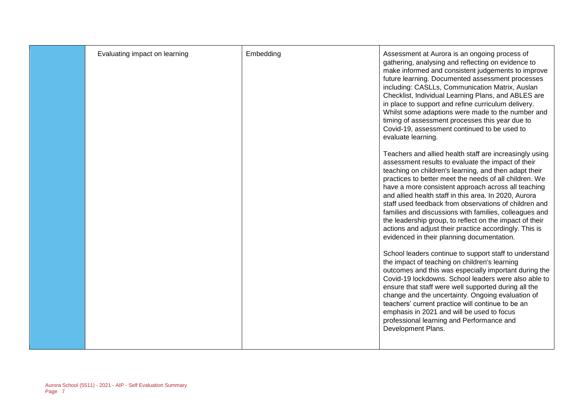| Evaluating impact on learning | Embedding | Assessment at Aurora is an ongoing process of<br>gathering, analysing and reflecting on evidence to<br>make informed and consistent judgements to improve<br>future learning. Documented assessment processes<br>including: CASLLs, Communication Matrix, Auslan<br>Checklist, Individual Learning Plans, and ABLES are<br>in place to support and refine curriculum delivery.<br>Whilst some adaptions were made to the number and<br>timing of assessment processes this year due to<br>Covid-19, assessment continued to be used to<br>evaluate learning.                                                                           |
|-------------------------------|-----------|----------------------------------------------------------------------------------------------------------------------------------------------------------------------------------------------------------------------------------------------------------------------------------------------------------------------------------------------------------------------------------------------------------------------------------------------------------------------------------------------------------------------------------------------------------------------------------------------------------------------------------------|
|                               |           | Teachers and allied health staff are increasingly using<br>assessment results to evaluate the impact of their<br>teaching on children's learning, and then adapt their<br>practices to better meet the needs of all children. We<br>have a more consistent approach across all teaching<br>and allied health staff in this area. In 2020, Aurora<br>staff used feedback from observations of children and<br>families and discussions with families, colleagues and<br>the leadership group, to reflect on the impact of their<br>actions and adjust their practice accordingly. This is<br>evidenced in their planning documentation. |
|                               |           | School leaders continue to support staff to understand<br>the impact of teaching on children's learning<br>outcomes and this was especially important during the<br>Covid-19 lockdowns. School leaders were also able to<br>ensure that staff were well supported during all the<br>change and the uncertainty. Ongoing evaluation of<br>teachers' current practice will continue to be an<br>emphasis in 2021 and will be used to focus<br>professional learning and Performance and<br>Development Plans.                                                                                                                            |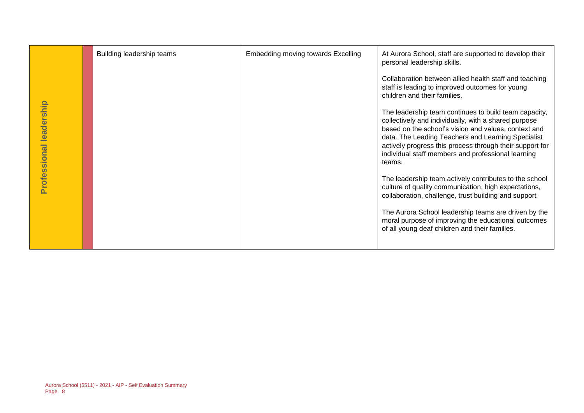|                         | Building leadership teams                                   | <b>Embedding moving towards Excelling</b> | At Aurora School, staff are supported to develop their<br>personal leadership skills.                                                                                                                                                                                                                                                                   |
|-------------------------|-------------------------------------------------------------|-------------------------------------------|---------------------------------------------------------------------------------------------------------------------------------------------------------------------------------------------------------------------------------------------------------------------------------------------------------------------------------------------------------|
|                         |                                                             |                                           | Collaboration between allied health staff and teaching<br>staff is leading to improved outcomes for young<br>children and their families.                                                                                                                                                                                                               |
| Professional leadership |                                                             |                                           | The leadership team continues to build team capacity,<br>collectively and individually, with a shared purpose<br>based on the school's vision and values, context and<br>data. The Leading Teachers and Learning Specialist<br>actively progress this process through their support for<br>individual staff members and professional learning<br>teams. |
|                         |                                                             |                                           | The leadership team actively contributes to the school<br>culture of quality communication, high expectations,<br>collaboration, challenge, trust building and support                                                                                                                                                                                  |
|                         |                                                             |                                           | The Aurora School leadership teams are driven by the<br>moral purpose of improving the educational outcomes<br>of all young deaf children and their families.                                                                                                                                                                                           |
|                         |                                                             |                                           |                                                                                                                                                                                                                                                                                                                                                         |
|                         |                                                             |                                           |                                                                                                                                                                                                                                                                                                                                                         |
|                         |                                                             |                                           |                                                                                                                                                                                                                                                                                                                                                         |
|                         |                                                             |                                           |                                                                                                                                                                                                                                                                                                                                                         |
|                         |                                                             |                                           |                                                                                                                                                                                                                                                                                                                                                         |
| Page 8                  | Aurora School (5511) - 2021 - AIP - Self Evaluation Summary |                                           |                                                                                                                                                                                                                                                                                                                                                         |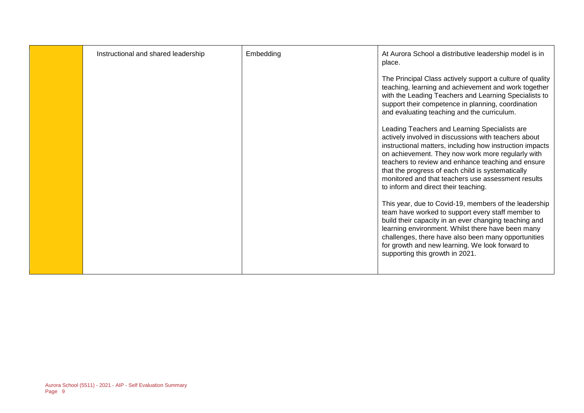| Instructional and shared leadership | Embedding | At Aurora School a distributive leadership model is in<br>place.                                                                                                                                                                                                                                                                                                                                                                |
|-------------------------------------|-----------|---------------------------------------------------------------------------------------------------------------------------------------------------------------------------------------------------------------------------------------------------------------------------------------------------------------------------------------------------------------------------------------------------------------------------------|
|                                     |           | The Principal Class actively support a culture of quality<br>teaching, learning and achievement and work together<br>with the Leading Teachers and Learning Specialists to<br>support their competence in planning, coordination<br>and evaluating teaching and the curriculum.                                                                                                                                                 |
|                                     |           | Leading Teachers and Learning Specialists are<br>actively involved in discussions with teachers about<br>instructional matters, including how instruction impacts<br>on achievement. They now work more regularly with<br>teachers to review and enhance teaching and ensure<br>that the progress of each child is systematically<br>monitored and that teachers use assessment results<br>to inform and direct their teaching. |
|                                     |           | This year, due to Covid-19, members of the leadership<br>team have worked to support every staff member to<br>build their capacity in an ever changing teaching and<br>learning environment. Whilst there have been many<br>challenges, there have also been many opportunities<br>for growth and new learning. We look forward to<br>supporting this growth in 2021.                                                           |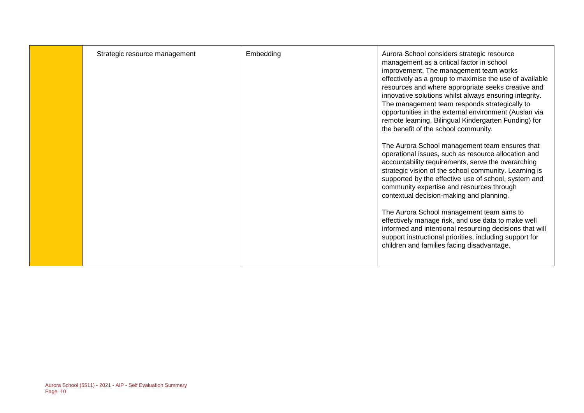| Strategic resource management | Embedding | Aurora School considers strategic resource<br>management as a critical factor in school                                                                                                                                                                                                                                                                               |
|-------------------------------|-----------|-----------------------------------------------------------------------------------------------------------------------------------------------------------------------------------------------------------------------------------------------------------------------------------------------------------------------------------------------------------------------|
|                               |           | improvement. The management team works<br>effectively as a group to maximise the use of available<br>resources and where appropriate seeks creative and<br>innovative solutions whilst always ensuring integrity.                                                                                                                                                     |
|                               |           | The management team responds strategically to<br>opportunities in the external environment (Auslan via<br>remote learning, Bilingual Kindergarten Funding) for<br>the benefit of the school community.                                                                                                                                                                |
|                               |           | The Aurora School management team ensures that<br>operational issues, such as resource allocation and<br>accountability requirements, serve the overarching<br>strategic vision of the school community. Learning is<br>supported by the effective use of school, system and<br>community expertise and resources through<br>contextual decision-making and planning. |
|                               |           | The Aurora School management team aims to<br>effectively manage risk, and use data to make well<br>informed and intentional resourcing decisions that will<br>support instructional priorities, including support for<br>children and families facing disadvantage.                                                                                                   |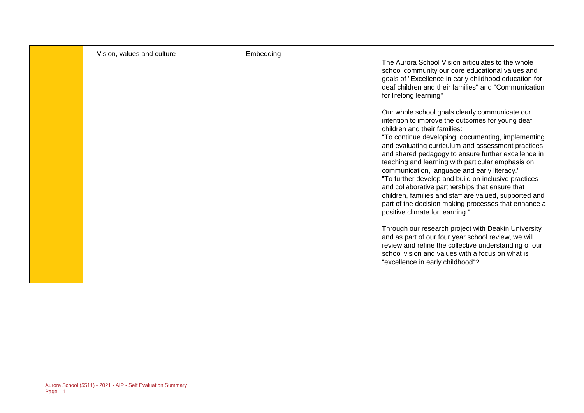| Vision, values and culture | Embedding | The Aurora School Vision articulates to the whole<br>school community our core educational values and<br>goals of "Excellence in early childhood education for<br>deaf children and their families" and "Communication<br>for lifelong learning"                                                                                                                                                                                                                                                                                                                                                                                                                                                                                  |
|----------------------------|-----------|-----------------------------------------------------------------------------------------------------------------------------------------------------------------------------------------------------------------------------------------------------------------------------------------------------------------------------------------------------------------------------------------------------------------------------------------------------------------------------------------------------------------------------------------------------------------------------------------------------------------------------------------------------------------------------------------------------------------------------------|
|                            |           | Our whole school goals clearly communicate our<br>intention to improve the outcomes for young deaf<br>children and their families:<br>"To continue developing, documenting, implementing<br>and evaluating curriculum and assessment practices<br>and shared pedagogy to ensure further excellence in<br>teaching and learning with particular emphasis on<br>communication, language and early literacy."<br>"To further develop and build on inclusive practices<br>and collaborative partnerships that ensure that<br>children, families and staff are valued, supported and<br>part of the decision making processes that enhance a<br>positive climate for learning."<br>Through our research project with Deakin University |
|                            |           | and as part of our four year school review, we will<br>review and refine the collective understanding of our<br>school vision and values with a focus on what is<br>"excellence in early childhood"?                                                                                                                                                                                                                                                                                                                                                                                                                                                                                                                              |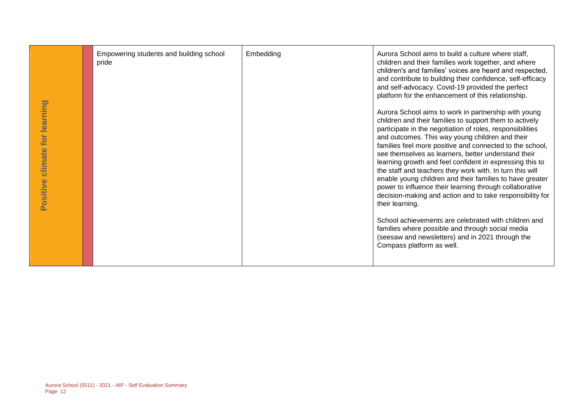| Positive climate for learning | Empowering students and building school<br>pride            | Embedding | Aurora School aims to build a culture where staff,<br>children and their families work together, and where<br>children's and families' voices are heard and respected,<br>and contribute to building their confidence, self-efficacy<br>and self-advocacy. Covid-19 provided the perfect<br>platform for the enhancement of this relationship.<br>Aurora School aims to work in partnership with young<br>children and their families to support them to actively<br>participate in the negotiation of roles, responsibilities<br>and outcomes. This way young children and their<br>families feel more positive and connected to the school,<br>see themselves as learners, better understand their<br>learning growth and feel confident in expressing this to<br>the staff and teachers they work with. In turn this will<br>enable young children and their families to have greater<br>power to influence their learning through collaborative<br>decision-making and action and to take responsibility for<br>their learning.<br>School achievements are celebrated with children and<br>families where possible and through social media<br>(seesaw and newsletters) and in 2021 through the<br>Compass platform as well. |
|-------------------------------|-------------------------------------------------------------|-----------|----------------------------------------------------------------------------------------------------------------------------------------------------------------------------------------------------------------------------------------------------------------------------------------------------------------------------------------------------------------------------------------------------------------------------------------------------------------------------------------------------------------------------------------------------------------------------------------------------------------------------------------------------------------------------------------------------------------------------------------------------------------------------------------------------------------------------------------------------------------------------------------------------------------------------------------------------------------------------------------------------------------------------------------------------------------------------------------------------------------------------------------------------------------------------------------------------------------------------------|
| Page 12                       | Aurora School (5511) - 2021 - AIP - Self Evaluation Summary |           |                                                                                                                                                                                                                                                                                                                                                                                                                                                                                                                                                                                                                                                                                                                                                                                                                                                                                                                                                                                                                                                                                                                                                                                                                                  |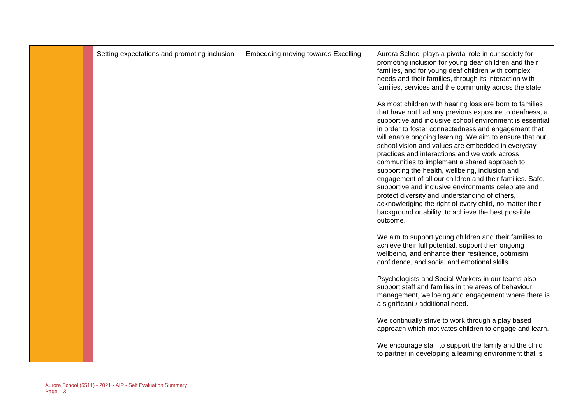| Setting expectations and promoting inclusion | Embedding moving towards Excelling | Aurora School plays a pivotal role in our society for<br>promoting inclusion for young deaf children and their<br>families, and for young deaf children with complex<br>needs and their families, through its interaction with<br>families, services and the community across the state.                                                                                                                                                                                                                                                                                                                                                                                                                                                                                                                      |
|----------------------------------------------|------------------------------------|---------------------------------------------------------------------------------------------------------------------------------------------------------------------------------------------------------------------------------------------------------------------------------------------------------------------------------------------------------------------------------------------------------------------------------------------------------------------------------------------------------------------------------------------------------------------------------------------------------------------------------------------------------------------------------------------------------------------------------------------------------------------------------------------------------------|
|                                              |                                    | As most children with hearing loss are born to families<br>that have not had any previous exposure to deafness, a<br>supportive and inclusive school environment is essential<br>in order to foster connectedness and engagement that<br>will enable ongoing learning. We aim to ensure that our<br>school vision and values are embedded in everyday<br>practices and interactions and we work across<br>communities to implement a shared approach to<br>supporting the health, wellbeing, inclusion and<br>engagement of all our children and their families. Safe,<br>supportive and inclusive environments celebrate and<br>protect diversity and understanding of others,<br>acknowledging the right of every child, no matter their<br>background or ability, to achieve the best possible<br>outcome. |
|                                              |                                    | We aim to support young children and their families to<br>achieve their full potential, support their ongoing<br>wellbeing, and enhance their resilience, optimism,<br>confidence, and social and emotional skills.                                                                                                                                                                                                                                                                                                                                                                                                                                                                                                                                                                                           |
|                                              |                                    | Psychologists and Social Workers in our teams also<br>support staff and families in the areas of behaviour<br>management, wellbeing and engagement where there is<br>a significant / additional need.                                                                                                                                                                                                                                                                                                                                                                                                                                                                                                                                                                                                         |
|                                              |                                    | We continually strive to work through a play based<br>approach which motivates children to engage and learn.                                                                                                                                                                                                                                                                                                                                                                                                                                                                                                                                                                                                                                                                                                  |
|                                              |                                    | We encourage staff to support the family and the child<br>to partner in developing a learning environment that is                                                                                                                                                                                                                                                                                                                                                                                                                                                                                                                                                                                                                                                                                             |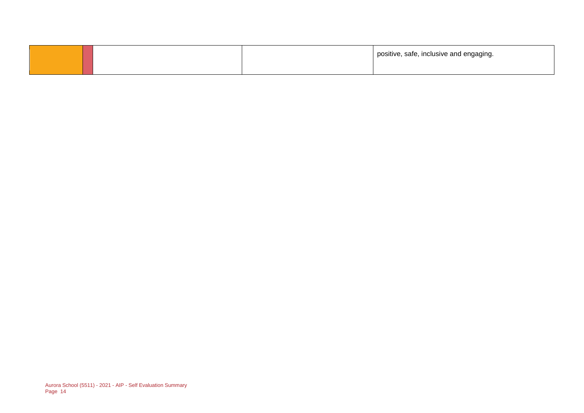|  | positive, safe, inclusive and engaging. |
|--|-----------------------------------------|
|  |                                         |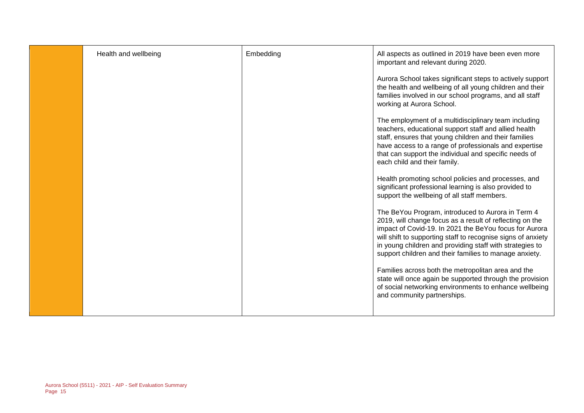| Health and wellbeing | Embedding | All aspects as outlined in 2019 have been even more<br>important and relevant during 2020.<br>Aurora School takes significant steps to actively support<br>the health and wellbeing of all young children and their<br>families involved in our school programs, and all staff<br>working at Aurora School.<br>The employment of a multidisciplinary team including<br>teachers, educational support staff and allied health<br>staff, ensures that young children and their families<br>have access to a range of professionals and expertise<br>that can support the individual and specific needs of<br>each child and their family.<br>Health promoting school policies and processes, and<br>significant professional learning is also provided to<br>support the wellbeing of all staff members.<br>The BeYou Program, introduced to Aurora in Term 4<br>2019, will change focus as a result of reflecting on the<br>impact of Covid-19. In 2021 the BeYou focus for Aurora<br>will shift to supporting staff to recognise signs of anxiety<br>in young children and providing staff with strategies to<br>support children and their families to manage anxiety.<br>Families across both the metropolitan area and the |
|----------------------|-----------|-------------------------------------------------------------------------------------------------------------------------------------------------------------------------------------------------------------------------------------------------------------------------------------------------------------------------------------------------------------------------------------------------------------------------------------------------------------------------------------------------------------------------------------------------------------------------------------------------------------------------------------------------------------------------------------------------------------------------------------------------------------------------------------------------------------------------------------------------------------------------------------------------------------------------------------------------------------------------------------------------------------------------------------------------------------------------------------------------------------------------------------------------------------------------------------------------------------------------------|
|                      |           | state will once again be supported through the provision<br>of social networking environments to enhance wellbeing<br>and community partnerships.                                                                                                                                                                                                                                                                                                                                                                                                                                                                                                                                                                                                                                                                                                                                                                                                                                                                                                                                                                                                                                                                             |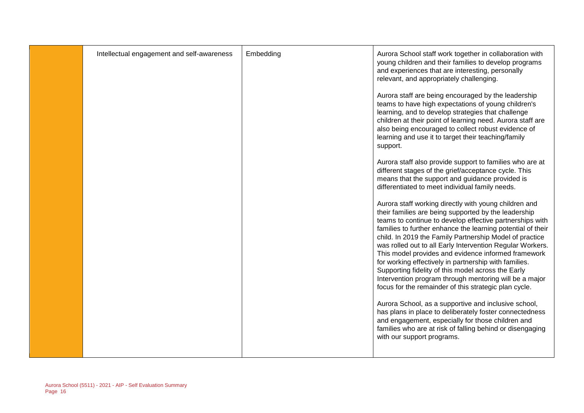| Intellectual engagement and self-awareness | Embedding | Aurora School staff work together in collaboration with<br>young children and their families to develop programs<br>and experiences that are interesting, personally<br>relevant, and appropriately challenging.                                                                                                                                                                                                                                                                                                                                                                                                                                          |
|--------------------------------------------|-----------|-----------------------------------------------------------------------------------------------------------------------------------------------------------------------------------------------------------------------------------------------------------------------------------------------------------------------------------------------------------------------------------------------------------------------------------------------------------------------------------------------------------------------------------------------------------------------------------------------------------------------------------------------------------|
|                                            |           | Aurora staff are being encouraged by the leadership<br>teams to have high expectations of young children's<br>learning, and to develop strategies that challenge<br>children at their point of learning need. Aurora staff are<br>also being encouraged to collect robust evidence of<br>learning and use it to target their teaching/family<br>support.                                                                                                                                                                                                                                                                                                  |
|                                            |           | Aurora staff also provide support to families who are at<br>different stages of the grief/acceptance cycle. This<br>means that the support and guidance provided is<br>differentiated to meet individual family needs.                                                                                                                                                                                                                                                                                                                                                                                                                                    |
|                                            |           | Aurora staff working directly with young children and<br>their families are being supported by the leadership<br>teams to continue to develop effective partnerships with<br>families to further enhance the learning potential of their<br>child. In 2019 the Family Partnership Model of practice<br>was rolled out to all Early Intervention Regular Workers.<br>This model provides and evidence informed framework<br>for working effectively in partnership with families.<br>Supporting fidelity of this model across the Early<br>Intervention program through mentoring will be a major<br>focus for the remainder of this strategic plan cycle. |
|                                            |           | Aurora School, as a supportive and inclusive school,<br>has plans in place to deliberately foster connectedness<br>and engagement, especially for those children and<br>families who are at risk of falling behind or disengaging<br>with our support programs.                                                                                                                                                                                                                                                                                                                                                                                           |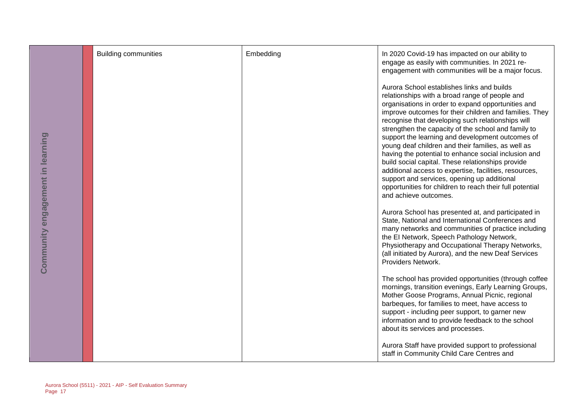| information and to provide feedback to the school | Community engagement in learning | <b>Building communities</b> | Embedding | In 2020 Covid-19 has impacted on our ability to<br>engage as easily with communities. In 2021 re-<br>engagement with communities will be a major focus.<br>Aurora School establishes links and builds<br>relationships with a broad range of people and<br>organisations in order to expand opportunities and<br>improve outcomes for their children and families. They<br>recognise that developing such relationships will<br>strengthen the capacity of the school and family to<br>support the learning and development outcomes of<br>young deaf children and their families, as well as<br>having the potential to enhance social inclusion and<br>build social capital. These relationships provide<br>additional access to expertise, facilities, resources,<br>support and services, opening up additional<br>opportunities for children to reach their full potential<br>and achieve outcomes.<br>Aurora School has presented at, and participated in<br>State, National and International Conferences and<br>many networks and communities of practice including<br>the El Network, Speech Pathology Network,<br>Physiotherapy and Occupational Therapy Networks,<br>(all initiated by Aurora), and the new Deaf Services<br>Providers Network.<br>The school has provided opportunities (through coffee<br>mornings, transition evenings, Early Learning Groups,<br>Mother Goose Programs, Annual Picnic, regional<br>barbeques, for families to meet, have access to<br>support - including peer support, to garner new |
|---------------------------------------------------|----------------------------------|-----------------------------|-----------|--------------------------------------------------------------------------------------------------------------------------------------------------------------------------------------------------------------------------------------------------------------------------------------------------------------------------------------------------------------------------------------------------------------------------------------------------------------------------------------------------------------------------------------------------------------------------------------------------------------------------------------------------------------------------------------------------------------------------------------------------------------------------------------------------------------------------------------------------------------------------------------------------------------------------------------------------------------------------------------------------------------------------------------------------------------------------------------------------------------------------------------------------------------------------------------------------------------------------------------------------------------------------------------------------------------------------------------------------------------------------------------------------------------------------------------------------------------------------------------------------------------------------------------|
| about its services and processes.                 |                                  |                             |           |                                                                                                                                                                                                                                                                                                                                                                                                                                                                                                                                                                                                                                                                                                                                                                                                                                                                                                                                                                                                                                                                                                                                                                                                                                                                                                                                                                                                                                                                                                                                      |
| staff in Community Child Care Centres and         |                                  |                             |           | Aurora Staff have provided support to professional                                                                                                                                                                                                                                                                                                                                                                                                                                                                                                                                                                                                                                                                                                                                                                                                                                                                                                                                                                                                                                                                                                                                                                                                                                                                                                                                                                                                                                                                                   |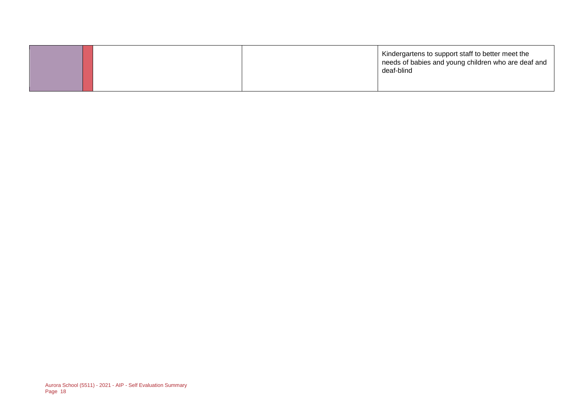|  | Kindergartens to support staff to better meet the<br>needs of babies and young children who are deaf and<br>deaf-blind |
|--|------------------------------------------------------------------------------------------------------------------------|
|  |                                                                                                                        |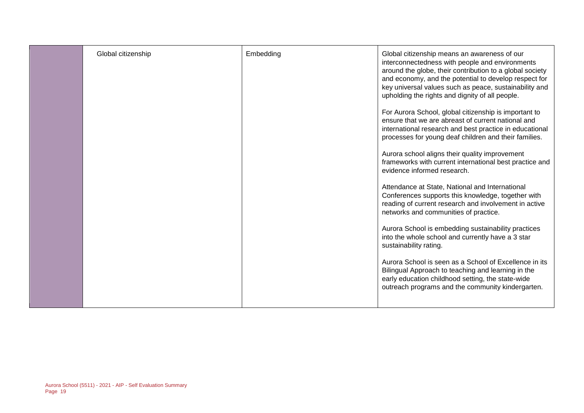| Global citizenship | Embedding | Global citizenship means an awareness of our<br>interconnectedness with people and environments<br>around the globe, their contribution to a global society<br>and economy, and the potential to develop respect for<br>key universal values such as peace, sustainability and<br>upholding the rights and dignity of all people.<br>For Aurora School, global citizenship is important to<br>ensure that we are abreast of current national and<br>international research and best practice in educational<br>processes for young deaf children and their families.<br>Aurora school aligns their quality improvement<br>frameworks with current international best practice and<br>evidence informed research.<br>Attendance at State, National and International<br>Conferences supports this knowledge, together with<br>reading of current research and involvement in active<br>networks and communities of practice.<br>Aurora School is embedding sustainability practices<br>into the whole school and currently have a 3 star<br>sustainability rating.<br>Aurora School is seen as a School of Excellence in its<br>Bilingual Approach to teaching and learning in the<br>early education childhood setting, the state-wide |
|--------------------|-----------|----------------------------------------------------------------------------------------------------------------------------------------------------------------------------------------------------------------------------------------------------------------------------------------------------------------------------------------------------------------------------------------------------------------------------------------------------------------------------------------------------------------------------------------------------------------------------------------------------------------------------------------------------------------------------------------------------------------------------------------------------------------------------------------------------------------------------------------------------------------------------------------------------------------------------------------------------------------------------------------------------------------------------------------------------------------------------------------------------------------------------------------------------------------------------------------------------------------------------------------|
|                    |           | outreach programs and the community kindergarten.                                                                                                                                                                                                                                                                                                                                                                                                                                                                                                                                                                                                                                                                                                                                                                                                                                                                                                                                                                                                                                                                                                                                                                                      |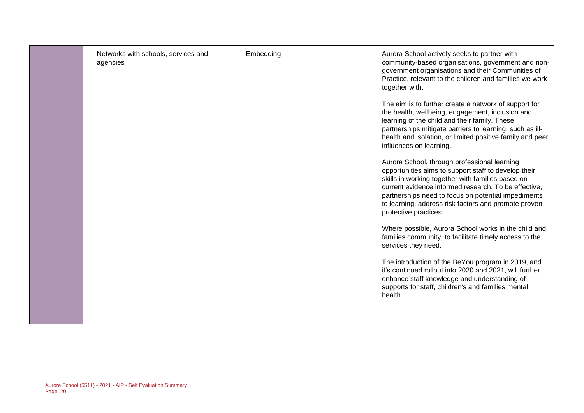|  |  | Networks with schools, services and<br>agencies | Embedding | Aurora School actively seeks to partner with<br>community-based organisations, government and non-<br>government organisations and their Communities of<br>Practice, relevant to the children and families we work<br>together with.<br>The aim is to further create a network of support for<br>the health, wellbeing, engagement, inclusion and<br>learning of the child and their family. These<br>partnerships mitigate barriers to learning, such as ill-<br>health and isolation, or limited positive family and peer<br>influences on learning.<br>Aurora School, through professional learning<br>opportunities aims to support staff to develop their<br>skills in working together with families based on<br>current evidence informed research. To be effective,<br>partnerships need to focus on potential impediments<br>to learning, address risk factors and promote proven<br>protective practices.<br>Where possible, Aurora School works in the child and<br>families community, to facilitate timely access to the<br>services they need.<br>The introduction of the BeYou program in 2019, and<br>it's continued rollout into 2020 and 2021, will further<br>enhance staff knowledge and understanding of<br>supports for staff, children's and families mental<br>health. |
|--|--|-------------------------------------------------|-----------|------------------------------------------------------------------------------------------------------------------------------------------------------------------------------------------------------------------------------------------------------------------------------------------------------------------------------------------------------------------------------------------------------------------------------------------------------------------------------------------------------------------------------------------------------------------------------------------------------------------------------------------------------------------------------------------------------------------------------------------------------------------------------------------------------------------------------------------------------------------------------------------------------------------------------------------------------------------------------------------------------------------------------------------------------------------------------------------------------------------------------------------------------------------------------------------------------------------------------------------------------------------------------------------------|
|--|--|-------------------------------------------------|-----------|------------------------------------------------------------------------------------------------------------------------------------------------------------------------------------------------------------------------------------------------------------------------------------------------------------------------------------------------------------------------------------------------------------------------------------------------------------------------------------------------------------------------------------------------------------------------------------------------------------------------------------------------------------------------------------------------------------------------------------------------------------------------------------------------------------------------------------------------------------------------------------------------------------------------------------------------------------------------------------------------------------------------------------------------------------------------------------------------------------------------------------------------------------------------------------------------------------------------------------------------------------------------------------------------|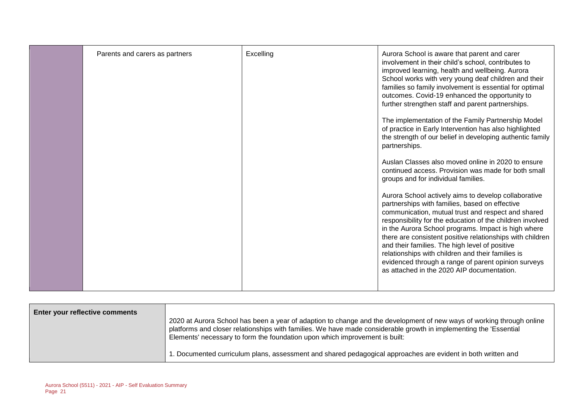| Parents and carers as partners | Excelling | Aurora School is aware that parent and carer<br>involvement in their child's school, contributes to<br>improved learning, health and wellbeing. Aurora<br>School works with very young deaf children and their<br>families so family involvement is essential for optimal<br>outcomes. Covid-19 enhanced the opportunity to<br>further strengthen staff and parent partnerships.<br>The implementation of the Family Partnership Model<br>of practice in Early Intervention has also highlighted<br>the strength of our belief in developing authentic family<br>partnerships.<br>Auslan Classes also moved online in 2020 to ensure<br>continued access. Provision was made for both small<br>groups and for individual families.<br>Aurora School actively aims to develop collaborative<br>partnerships with families, based on effective<br>communication, mutual trust and respect and shared<br>responsibility for the education of the children involved<br>in the Aurora School programs. Impact is high where<br>there are consistent positive relationships with children<br>and their families. The high level of positive<br>relationships with children and their families is<br>evidenced through a range of parent opinion surveys |
|--------------------------------|-----------|---------------------------------------------------------------------------------------------------------------------------------------------------------------------------------------------------------------------------------------------------------------------------------------------------------------------------------------------------------------------------------------------------------------------------------------------------------------------------------------------------------------------------------------------------------------------------------------------------------------------------------------------------------------------------------------------------------------------------------------------------------------------------------------------------------------------------------------------------------------------------------------------------------------------------------------------------------------------------------------------------------------------------------------------------------------------------------------------------------------------------------------------------------------------------------------------------------------------------------------------------|
|                                |           | as attached in the 2020 AIP documentation.                                                                                                                                                                                                                                                                                                                                                                                                                                                                                                                                                                                                                                                                                                                                                                                                                                                                                                                                                                                                                                                                                                                                                                                                        |
|                                |           |                                                                                                                                                                                                                                                                                                                                                                                                                                                                                                                                                                                                                                                                                                                                                                                                                                                                                                                                                                                                                                                                                                                                                                                                                                                   |

| <b>Enter your reflective comments</b> | 2020 at Aurora School has been a year of adaption to change and the development of new ways of working through online<br>platforms and closer relationships with families. We have made considerable growth in implementing the 'Essential<br>Elements' necessary to form the foundation upon which improvement is built: |
|---------------------------------------|---------------------------------------------------------------------------------------------------------------------------------------------------------------------------------------------------------------------------------------------------------------------------------------------------------------------------|
|                                       | 1. Documented curriculum plans, assessment and shared pedagogical approaches are evident in both written and                                                                                                                                                                                                              |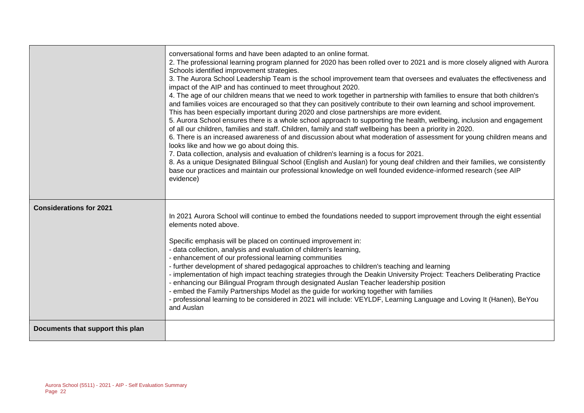|                                  | conversational forms and have been adapted to an online format.<br>2. The professional learning program planned for 2020 has been rolled over to 2021 and is more closely aligned with Aurora<br>Schools identified improvement strategies.<br>3. The Aurora School Leadership Team is the school improvement team that oversees and evaluates the effectiveness and<br>impact of the AIP and has continued to meet throughout 2020.<br>4. The age of our children means that we need to work together in partnership with families to ensure that both children's<br>and families voices are encouraged so that they can positively contribute to their own learning and school improvement.<br>This has been especially important during 2020 and close partnerships are more evident.<br>5. Aurora School ensures there is a whole school approach to supporting the health, wellbeing, inclusion and engagement<br>of all our children, families and staff. Children, family and staff wellbeing has been a priority in 2020.<br>6. There is an increased awareness of and discussion about what moderation of assessment for young children means and<br>looks like and how we go about doing this.<br>7. Data collection, analysis and evaluation of children's learning is a focus for 2021.<br>8. As a unique Designated Bilingual School (English and Auslan) for young deaf children and their families, we consistently<br>base our practices and maintain our professional knowledge on well founded evidence-informed research (see AIP<br>evidence) |
|----------------------------------|-------------------------------------------------------------------------------------------------------------------------------------------------------------------------------------------------------------------------------------------------------------------------------------------------------------------------------------------------------------------------------------------------------------------------------------------------------------------------------------------------------------------------------------------------------------------------------------------------------------------------------------------------------------------------------------------------------------------------------------------------------------------------------------------------------------------------------------------------------------------------------------------------------------------------------------------------------------------------------------------------------------------------------------------------------------------------------------------------------------------------------------------------------------------------------------------------------------------------------------------------------------------------------------------------------------------------------------------------------------------------------------------------------------------------------------------------------------------------------------------------------------------------------------------------------------------|
| <b>Considerations for 2021</b>   | In 2021 Aurora School will continue to embed the foundations needed to support improvement through the eight essential<br>elements noted above.<br>Specific emphasis will be placed on continued improvement in:<br>- data collection, analysis and evaluation of children's learning,<br>- enhancement of our professional learning communities<br>- further development of shared pedagogical approaches to children's teaching and learning<br>- implementation of high impact teaching strategies through the Deakin University Project: Teachers Deliberating Practice<br>- enhancing our Bilingual Program through designated Auslan Teacher leadership position<br>- embed the Family Partnerships Model as the guide for working together with families<br>- professional learning to be considered in 2021 will include: VEYLDF, Learning Language and Loving It (Hanen), BeYou<br>and Auslan                                                                                                                                                                                                                                                                                                                                                                                                                                                                                                                                                                                                                                                            |
| Documents that support this plan |                                                                                                                                                                                                                                                                                                                                                                                                                                                                                                                                                                                                                                                                                                                                                                                                                                                                                                                                                                                                                                                                                                                                                                                                                                                                                                                                                                                                                                                                                                                                                                   |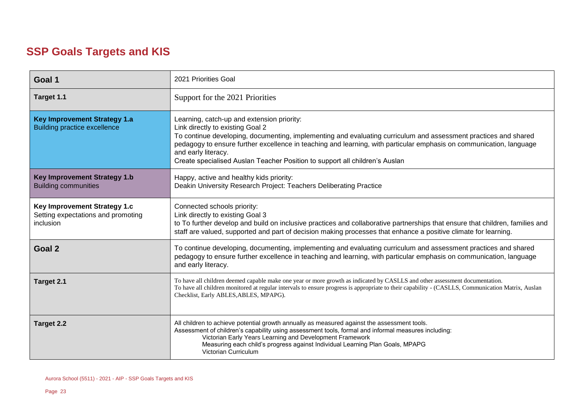### **SSP Goals Targets and KIS**

| Goal 1                                                                                 | 2021 Priorities Goal                                                                                                                                                                                                                                                                                                                                                                                                           |
|----------------------------------------------------------------------------------------|--------------------------------------------------------------------------------------------------------------------------------------------------------------------------------------------------------------------------------------------------------------------------------------------------------------------------------------------------------------------------------------------------------------------------------|
| Target 1.1                                                                             | Support for the 2021 Priorities                                                                                                                                                                                                                                                                                                                                                                                                |
| <b>Key Improvement Strategy 1.a</b><br><b>Building practice excellence</b>             | Learning, catch-up and extension priority:<br>Link directly to existing Goal 2<br>To continue developing, documenting, implementing and evaluating curriculum and assessment practices and shared<br>pedagogy to ensure further excellence in teaching and learning, with particular emphasis on communication, language<br>and early literacy.<br>Create specialised Auslan Teacher Position to support all children's Auslan |
| <b>Key Improvement Strategy 1.b</b><br><b>Building communities</b>                     | Happy, active and healthy kids priority:<br>Deakin University Research Project: Teachers Deliberating Practice                                                                                                                                                                                                                                                                                                                 |
| Key Improvement Strategy 1.c<br>Setting expectations and promoting<br><i>inclusion</i> | Connected schools priority:<br>Link directly to existing Goal 3<br>to To further develop and build on inclusive practices and collaborative partnerships that ensure that children, families and<br>staff are valued, supported and part of decision making processes that enhance a positive climate for learning.                                                                                                            |
| Goal 2                                                                                 | To continue developing, documenting, implementing and evaluating curriculum and assessment practices and shared<br>pedagogy to ensure further excellence in teaching and learning, with particular emphasis on communication, language<br>and early literacy.                                                                                                                                                                  |
| Target 2.1                                                                             | To have all children deemed capable make one year or more growth as indicated by CASLLS and other assessment documentation.<br>To have all children monitored at regular intervals to ensure progress is appropriate to their capability - (CASLLS, Communication Matrix, Auslan<br>Checklist, Early ABLES, ABLES, MPAPG).                                                                                                     |
| Target 2.2                                                                             | All children to achieve potential growth annually as measured against the assessment tools.<br>Assessment of children's capability using assessment tools, formal and informal measures including:<br>Victorian Early Years Learning and Development Framework<br>Measuring each child's progress against Individual Learning Plan Goals, MPAPG<br>Victorian Curriculum                                                        |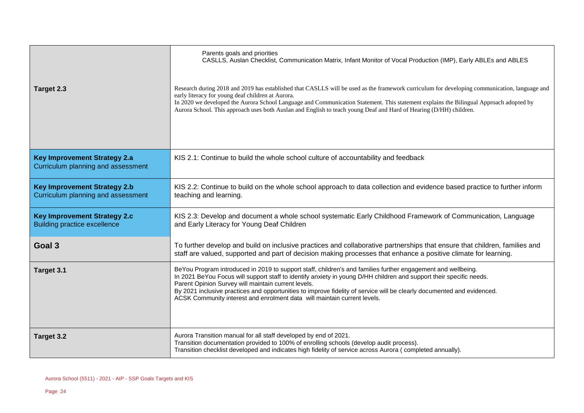|                                                                            | Parents goals and priorities<br>CASLLS, Auslan Checklist, Communication Matrix, Infant Monitor of Vocal Production (IMP), Early ABLEs and ABLES                                                                                                                                                                                                                                                                                                                                                  |
|----------------------------------------------------------------------------|--------------------------------------------------------------------------------------------------------------------------------------------------------------------------------------------------------------------------------------------------------------------------------------------------------------------------------------------------------------------------------------------------------------------------------------------------------------------------------------------------|
| Target 2.3                                                                 | Research during 2018 and 2019 has established that CASLLS will be used as the framework curriculum for developing communication, language and<br>early literacy for young deaf children at Aurora.<br>In 2020 we developed the Aurora School Language and Communication Statement. This statement explains the Bilingual Approach adopted by<br>Aurora School. This approach uses both Auslan and English to teach young Deaf and Hard of Hearing (D/HH) children.                               |
| <b>Key Improvement Strategy 2.a</b><br>Curriculum planning and assessment  | KIS 2.1: Continue to build the whole school culture of accountability and feedback                                                                                                                                                                                                                                                                                                                                                                                                               |
| <b>Key Improvement Strategy 2.b</b><br>Curriculum planning and assessment  | KIS 2.2: Continue to build on the whole school approach to data collection and evidence based practice to further inform<br>teaching and learning.                                                                                                                                                                                                                                                                                                                                               |
| <b>Key Improvement Strategy 2.c</b><br><b>Building practice excellence</b> | KIS 2.3: Develop and document a whole school systematic Early Childhood Framework of Communication, Language<br>and Early Literacy for Young Deaf Children                                                                                                                                                                                                                                                                                                                                       |
| Goal 3                                                                     | To further develop and build on inclusive practices and collaborative partnerships that ensure that children, families and<br>staff are valued, supported and part of decision making processes that enhance a positive climate for learning.                                                                                                                                                                                                                                                    |
| Target 3.1                                                                 | BeYou Program introduced in 2019 to support staff, children's and families further engagement and wellbeing.<br>In 2021 BeYou Focus will support staff to identify anxiety in young D/HH children and support their specific needs.<br>Parent Opinion Survey will maintain current levels.<br>By 2021 inclusive practices and opportunities to improve fidelity of service will be clearly documented and evidenced.<br>ACSK Community interest and enrolment data will maintain current levels. |
| Target 3.2                                                                 | Aurora Transition manual for all staff developed by end of 2021.<br>Transition documentation provided to 100% of enrolling schools (develop audit process).<br>Transition checklist developed and indicates high fidelity of service across Aurora (completed annually).                                                                                                                                                                                                                         |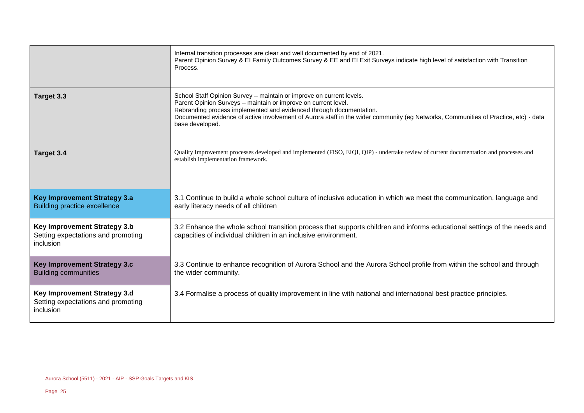|                                                                                        | Internal transition processes are clear and well documented by end of 2021.<br>Parent Opinion Survey & El Family Outcomes Survey & EE and El Exit Surveys indicate high level of satisfaction with Transition<br>Process.                                                                                                                                               |
|----------------------------------------------------------------------------------------|-------------------------------------------------------------------------------------------------------------------------------------------------------------------------------------------------------------------------------------------------------------------------------------------------------------------------------------------------------------------------|
| Target 3.3                                                                             | School Staff Opinion Survey - maintain or improve on current levels.<br>Parent Opinion Surveys - maintain or improve on current level.<br>Rebranding process implemented and evidenced through documentation.<br>Documented evidence of active involvement of Aurora staff in the wider community (eg Networks, Communities of Practice, etc) - data<br>base developed. |
| Target 3.4                                                                             | Quality Improvement processes developed and implemented (FISO, EIQI, QIP) - undertake review of current documentation and processes and<br>establish implementation framework.                                                                                                                                                                                          |
| <b>Key Improvement Strategy 3.a</b><br><b>Building practice excellence</b>             | 3.1 Continue to build a whole school culture of inclusive education in which we meet the communication, language and<br>early literacy needs of all children                                                                                                                                                                                                            |
| <b>Key Improvement Strategy 3.b</b><br>Setting expectations and promoting<br>inclusion | 3.2 Enhance the whole school transition process that supports children and informs educational settings of the needs and<br>capacities of individual children in an inclusive environment.                                                                                                                                                                              |
| <b>Key Improvement Strategy 3.c</b><br><b>Building communities</b>                     | 3.3 Continue to enhance recognition of Aurora School and the Aurora School profile from within the school and through<br>the wider community.                                                                                                                                                                                                                           |
| Key Improvement Strategy 3.d<br>Setting expectations and promoting<br>inclusion        | 3.4 Formalise a process of quality improvement in line with national and international best practice principles.                                                                                                                                                                                                                                                        |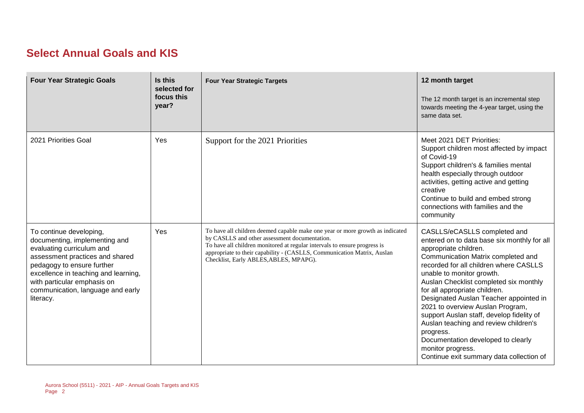### **Select Annual Goals and KIS**

| <b>Four Year Strategic Goals</b>                                                                                                                                                                                                                                                | Is this<br>selected for<br>focus this<br>year? | <b>Four Year Strategic Targets</b>                                                                                                                                                                                                                                                                                               | 12 month target<br>The 12 month target is an incremental step<br>towards meeting the 4-year target, using the<br>same data set.                                                                                                                                                                                                                                                                                                                                                                                                                                                      |
|---------------------------------------------------------------------------------------------------------------------------------------------------------------------------------------------------------------------------------------------------------------------------------|------------------------------------------------|----------------------------------------------------------------------------------------------------------------------------------------------------------------------------------------------------------------------------------------------------------------------------------------------------------------------------------|--------------------------------------------------------------------------------------------------------------------------------------------------------------------------------------------------------------------------------------------------------------------------------------------------------------------------------------------------------------------------------------------------------------------------------------------------------------------------------------------------------------------------------------------------------------------------------------|
| 2021 Priorities Goal                                                                                                                                                                                                                                                            | Yes                                            | Support for the 2021 Priorities                                                                                                                                                                                                                                                                                                  | Meet 2021 DET Priorities:<br>Support children most affected by impact<br>of Covid-19<br>Support children's & families mental<br>health especially through outdoor<br>activities, getting active and getting<br>creative<br>Continue to build and embed strong<br>connections with families and the<br>community                                                                                                                                                                                                                                                                      |
| To continue developing,<br>documenting, implementing and<br>evaluating curriculum and<br>assessment practices and shared<br>pedagogy to ensure further<br>excellence in teaching and learning,<br>with particular emphasis on<br>communication, language and early<br>literacy. | Yes                                            | To have all children deemed capable make one year or more growth as indicated<br>by CASLLS and other assessment documentation.<br>To have all children monitored at regular intervals to ensure progress is<br>appropriate to their capability - (CASLLS, Communication Matrix, Auslan<br>Checklist, Early ABLES, ABLES, MPAPG). | CASLLS/eCASLLS completed and<br>entered on to data base six monthly for all<br>appropriate children.<br>Communication Matrix completed and<br>recorded for all children where CASLLS<br>unable to monitor growth.<br>Auslan Checklist completed six monthly<br>for all appropriate children.<br>Designated Auslan Teacher appointed in<br>2021 to overview Auslan Program,<br>support Auslan staff, develop fidelity of<br>Auslan teaching and review children's<br>progress.<br>Documentation developed to clearly<br>monitor progress.<br>Continue exit summary data collection of |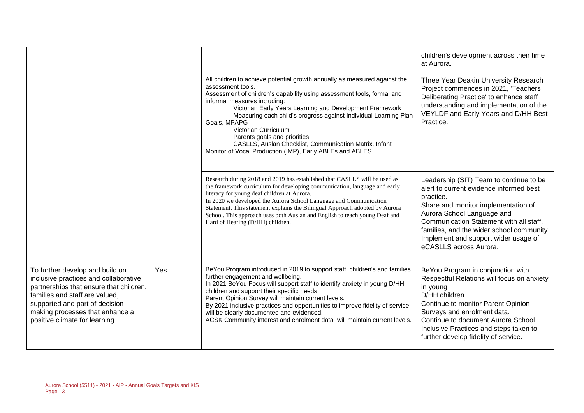|                                                                                                                                                                                                                                                              |     |                                                                                                                                                                                                                                                                                                                                                                                                                                                                                                                                        | children's development across their time<br>at Aurora.                                                                                                                                                                                                                                                                         |
|--------------------------------------------------------------------------------------------------------------------------------------------------------------------------------------------------------------------------------------------------------------|-----|----------------------------------------------------------------------------------------------------------------------------------------------------------------------------------------------------------------------------------------------------------------------------------------------------------------------------------------------------------------------------------------------------------------------------------------------------------------------------------------------------------------------------------------|--------------------------------------------------------------------------------------------------------------------------------------------------------------------------------------------------------------------------------------------------------------------------------------------------------------------------------|
|                                                                                                                                                                                                                                                              |     | All children to achieve potential growth annually as measured against the<br>assessment tools.<br>Assessment of children's capability using assessment tools, formal and<br>informal measures including:<br>Victorian Early Years Learning and Development Framework<br>Measuring each child's progress against Individual Learning Plan<br>Goals, MPAPG<br>Victorian Curriculum<br>Parents goals and priorities<br>CASLLS, Auslan Checklist, Communication Matrix, Infant<br>Monitor of Vocal Production (IMP), Early ABLEs and ABLES | Three Year Deakin University Research<br>Project commences in 2021, 'Teachers<br>Deliberating Practice' to enhance staff<br>understanding and implementation of the<br>VEYLDF and Early Years and D/HH Best<br>Practice.                                                                                                       |
|                                                                                                                                                                                                                                                              |     | Research during 2018 and 2019 has established that CASLLS will be used as<br>the framework curriculum for developing communication, language and early<br>literacy for young deaf children at Aurora.<br>In 2020 we developed the Aurora School Language and Communication<br>Statement. This statement explains the Bilingual Approach adopted by Aurora<br>School. This approach uses both Auslan and English to teach young Deaf and<br>Hard of Hearing (D/HH) children.                                                            | Leadership (SIT) Team to continue to be<br>alert to current evidence informed best<br>practice.<br>Share and monitor implementation of<br>Aurora School Language and<br>Communication Statement with all staff,<br>families, and the wider school community.<br>Implement and support wider usage of<br>eCASLLS across Aurora. |
| To further develop and build on<br>inclusive practices and collaborative<br>partnerships that ensure that children,<br>families and staff are valued,<br>supported and part of decision<br>making processes that enhance a<br>positive climate for learning. | Yes | BeYou Program introduced in 2019 to support staff, children's and families<br>further engagement and wellbeing.<br>In 2021 BeYou Focus will support staff to identify anxiety in young D/HH<br>children and support their specific needs.<br>Parent Opinion Survey will maintain current levels.<br>By 2021 inclusive practices and opportunities to improve fidelity of service<br>will be clearly documented and evidenced.<br>ACSK Community interest and enrolment data will maintain current levels.                              | BeYou Program in conjunction with<br>Respectful Relations will focus on anxiety<br>in young<br>D/HH children.<br>Continue to monitor Parent Opinion<br>Surveys and enrolment data.<br>Continue to document Aurora School<br>Inclusive Practices and steps taken to<br>further develop fidelity of service.                     |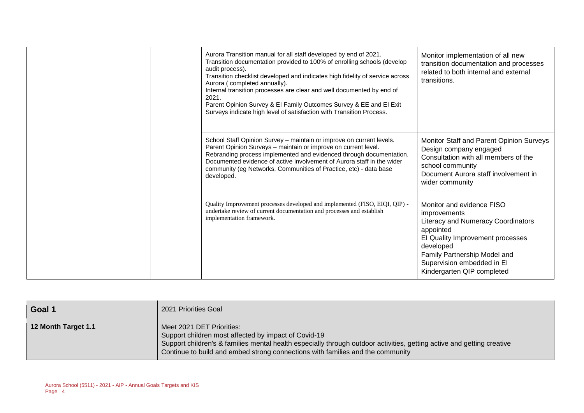| Aurora Transition manual for all staff developed by end of 2021.<br>Transition documentation provided to 100% of enrolling schools (develop<br>audit process).<br>Transition checklist developed and indicates high fidelity of service across<br>Aurora (completed annually).<br>Internal transition processes are clear and well documented by end of<br>2021.<br>Parent Opinion Survey & El Family Outcomes Survey & EE and El Exit<br>Surveys indicate high level of satisfaction with Transition Process. | Monitor implementation of all new<br>transition documentation and processes<br>related to both internal and external<br>transitions.                                                                                                      |
|----------------------------------------------------------------------------------------------------------------------------------------------------------------------------------------------------------------------------------------------------------------------------------------------------------------------------------------------------------------------------------------------------------------------------------------------------------------------------------------------------------------|-------------------------------------------------------------------------------------------------------------------------------------------------------------------------------------------------------------------------------------------|
| School Staff Opinion Survey - maintain or improve on current levels.<br>Parent Opinion Surveys - maintain or improve on current level.<br>Rebranding process implemented and evidenced through documentation.<br>Documented evidence of active involvement of Aurora staff in the wider<br>community (eg Networks, Communities of Practice, etc) - data base<br>developed.                                                                                                                                     | Monitor Staff and Parent Opinion Surveys<br>Design company engaged<br>Consultation with all members of the<br>school community<br>Document Aurora staff involvement in<br>wider community                                                 |
| Quality Improvement processes developed and implemented (FISO, EIQI, QIP) -<br>undertake review of current documentation and processes and establish<br>implementation framework.                                                                                                                                                                                                                                                                                                                              | Monitor and evidence FISO<br>improvements<br>Literacy and Numeracy Coordinators<br>appointed<br>El Quality Improvement processes<br>developed<br>Family Partnership Model and<br>Supervision embedded in El<br>Kindergarten QIP completed |

| Goal 1              | 2021 Priorities Goal                                                                                                                                                                                                                                                                          |
|---------------------|-----------------------------------------------------------------------------------------------------------------------------------------------------------------------------------------------------------------------------------------------------------------------------------------------|
| 12 Month Target 1.1 | Meet 2021 DET Priorities:<br>Support children most affected by impact of Covid-19<br>Support children's & families mental health especially through outdoor activities, getting active and getting creative<br>Continue to build and embed strong connections with families and the community |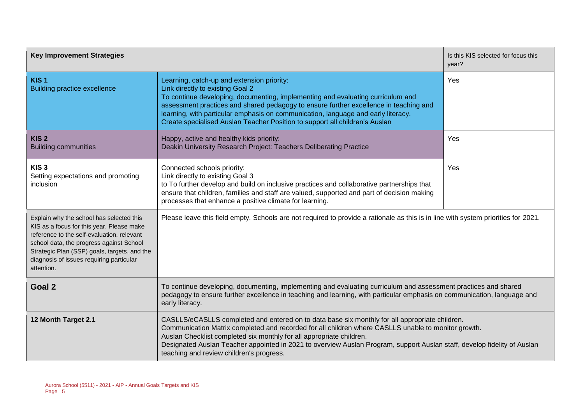| <b>Key Improvement Strategies</b>                                                                                                                                                                                                                                                         |                                                                                                                                                                                                                                                                                                                                                                                                                                                       | Is this KIS selected for focus this<br>year? |  |
|-------------------------------------------------------------------------------------------------------------------------------------------------------------------------------------------------------------------------------------------------------------------------------------------|-------------------------------------------------------------------------------------------------------------------------------------------------------------------------------------------------------------------------------------------------------------------------------------------------------------------------------------------------------------------------------------------------------------------------------------------------------|----------------------------------------------|--|
| KIS <sub>1</sub><br><b>Building practice excellence</b>                                                                                                                                                                                                                                   | Learning, catch-up and extension priority:<br>Link directly to existing Goal 2<br>To continue developing, documenting, implementing and evaluating curriculum and<br>assessment practices and shared pedagogy to ensure further excellence in teaching and<br>learning, with particular emphasis on communication, language and early literacy.<br>Create specialised Auslan Teacher Position to support all children's Auslan                        | Yes                                          |  |
| KIS <sub>2</sub><br><b>Building communities</b>                                                                                                                                                                                                                                           | Happy, active and healthy kids priority:<br>Deakin University Research Project: Teachers Deliberating Practice                                                                                                                                                                                                                                                                                                                                        | Yes                                          |  |
| KIS <sub>3</sub><br>Setting expectations and promoting<br>inclusion                                                                                                                                                                                                                       | Connected schools priority:<br>Link directly to existing Goal 3<br>to To further develop and build on inclusive practices and collaborative partnerships that<br>ensure that children, families and staff are valued, supported and part of decision making<br>processes that enhance a positive climate for learning.                                                                                                                                | Yes                                          |  |
| Explain why the school has selected this<br>KIS as a focus for this year. Please make<br>reference to the self-evaluation, relevant<br>school data, the progress against School<br>Strategic Plan (SSP) goals, targets, and the<br>diagnosis of issues requiring particular<br>attention. | Please leave this field empty. Schools are not required to provide a rationale as this is in line with system priorities for 2021.                                                                                                                                                                                                                                                                                                                    |                                              |  |
| Goal 2                                                                                                                                                                                                                                                                                    | To continue developing, documenting, implementing and evaluating curriculum and assessment practices and shared<br>pedagogy to ensure further excellence in teaching and learning, with particular emphasis on communication, language and<br>early literacy.                                                                                                                                                                                         |                                              |  |
| 12 Month Target 2.1                                                                                                                                                                                                                                                                       | CASLLS/eCASLLS completed and entered on to data base six monthly for all appropriate children.<br>Communication Matrix completed and recorded for all children where CASLLS unable to monitor growth.<br>Auslan Checklist completed six monthly for all appropriate children.<br>Designated Auslan Teacher appointed in 2021 to overview Auslan Program, support Auslan staff, develop fidelity of Auslan<br>teaching and review children's progress. |                                              |  |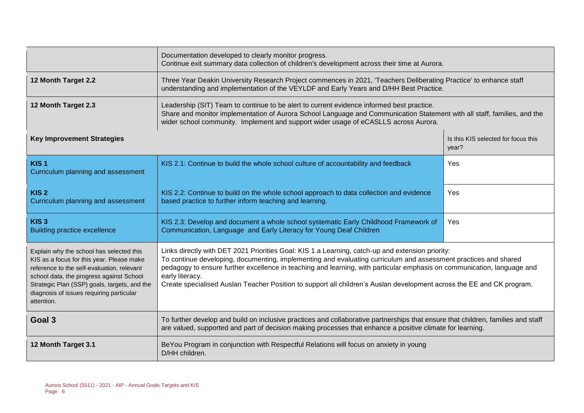|                                                                                                                                                                                                                                                                                           | Documentation developed to clearly monitor progress.<br>Continue exit summary data collection of children's development across their time at Aurora.                                                                                                                                                                                                                                                                                                                                       |     |  |  |
|-------------------------------------------------------------------------------------------------------------------------------------------------------------------------------------------------------------------------------------------------------------------------------------------|--------------------------------------------------------------------------------------------------------------------------------------------------------------------------------------------------------------------------------------------------------------------------------------------------------------------------------------------------------------------------------------------------------------------------------------------------------------------------------------------|-----|--|--|
| 12 Month Target 2.2                                                                                                                                                                                                                                                                       | Three Year Deakin University Research Project commences in 2021, 'Teachers Deliberating Practice' to enhance staff<br>understanding and implementation of the VEYLDF and Early Years and D/HH Best Practice.                                                                                                                                                                                                                                                                               |     |  |  |
| 12 Month Target 2.3                                                                                                                                                                                                                                                                       | Leadership (SIT) Team to continue to be alert to current evidence informed best practice.<br>Share and monitor implementation of Aurora School Language and Communication Statement with all staff, families, and the<br>wider school community. Implement and support wider usage of eCASLLS across Aurora.                                                                                                                                                                               |     |  |  |
| <b>Key Improvement Strategies</b><br>Is this KIS selected for focus this<br>year?                                                                                                                                                                                                         |                                                                                                                                                                                                                                                                                                                                                                                                                                                                                            |     |  |  |
| KIS <sub>1</sub><br>Curriculum planning and assessment                                                                                                                                                                                                                                    | KIS 2.1: Continue to build the whole school culture of accountability and feedback                                                                                                                                                                                                                                                                                                                                                                                                         | Yes |  |  |
| KIS <sub>2</sub><br>Curriculum planning and assessment                                                                                                                                                                                                                                    | KIS 2.2: Continue to build on the whole school approach to data collection and evidence<br>based practice to further inform teaching and learning.                                                                                                                                                                                                                                                                                                                                         | Yes |  |  |
| KIS <sub>3</sub><br><b>Building practice excellence</b>                                                                                                                                                                                                                                   | KIS 2.3: Develop and document a whole school systematic Early Childhood Framework of<br>Yes<br>Communication, Language and Early Literacy for Young Deaf Children                                                                                                                                                                                                                                                                                                                          |     |  |  |
| Explain why the school has selected this<br>KIS as a focus for this year. Please make<br>reference to the self-evaluation, relevant<br>school data, the progress against School<br>Strategic Plan (SSP) goals, targets, and the<br>diagnosis of issues requiring particular<br>attention. | Links directly with DET 2021 Priorities Goal: KIS 1.a Learning, catch-up and extension priority:<br>To continue developing, documenting, implementing and evaluating curriculum and assessment practices and shared<br>pedagogy to ensure further excellence in teaching and learning, with particular emphasis on communication, language and<br>early literacy.<br>Create specialised Auslan Teacher Position to support all children's Auslan development across the EE and CK program. |     |  |  |
| Goal 3                                                                                                                                                                                                                                                                                    | To further develop and build on inclusive practices and collaborative partnerships that ensure that children, families and staff<br>are valued, supported and part of decision making processes that enhance a positive climate for learning.                                                                                                                                                                                                                                              |     |  |  |
| 12 Month Target 3.1                                                                                                                                                                                                                                                                       | BeYou Program in conjunction with Respectful Relations will focus on anxiety in young<br>D/HH children.                                                                                                                                                                                                                                                                                                                                                                                    |     |  |  |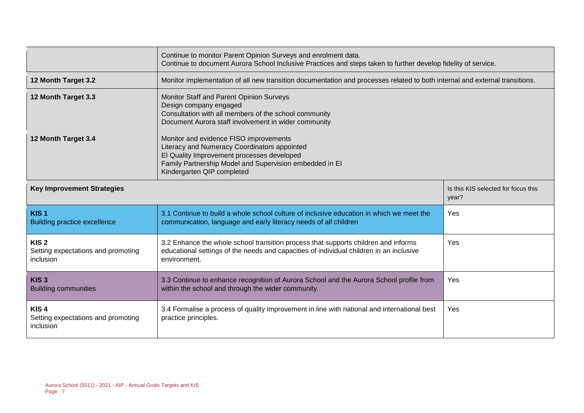|                                                                     | Continue to monitor Parent Opinion Surveys and enrolment data.<br>Continue to document Aurora School Inclusive Practices and steps taken to further develop fidelity of service.                                              |                                              |  |  |
|---------------------------------------------------------------------|-------------------------------------------------------------------------------------------------------------------------------------------------------------------------------------------------------------------------------|----------------------------------------------|--|--|
| 12 Month Target 3.2                                                 | Monitor implementation of all new transition documentation and processes related to both internal and external transitions.                                                                                                   |                                              |  |  |
| 12 Month Target 3.3                                                 | Monitor Staff and Parent Opinion Surveys<br>Design company engaged<br>Consultation with all members of the school community<br>Document Aurora staff involvement in wider community                                           |                                              |  |  |
| 12 Month Target 3.4                                                 | Monitor and evidence FISO improvements<br>Literacy and Numeracy Coordinators appointed<br>El Quality Improvement processes developed<br>Family Partnership Model and Supervision embedded in El<br>Kindergarten QIP completed |                                              |  |  |
| <b>Key Improvement Strategies</b>                                   |                                                                                                                                                                                                                               | Is this KIS selected for focus this<br>year? |  |  |
| KIS <sub>1</sub><br><b>Building practice excellence</b>             | 3.1 Continue to build a whole school culture of inclusive education in which we meet the<br>communication, language and early literacy needs of all children                                                                  | Yes                                          |  |  |
| KIS <sub>2</sub><br>Setting expectations and promoting<br>inclusion | 3.2 Enhance the whole school transition process that supports children and informs<br>educational settings of the needs and capacities of individual children in an inclusive<br>environment.                                 | Yes                                          |  |  |
| KIS <sub>3</sub><br><b>Building communities</b>                     | 3.3 Continue to enhance recognition of Aurora School and the Aurora School profile from<br>Yes<br>within the school and through the wider community.                                                                          |                                              |  |  |
| KIS <sub>4</sub><br>Setting expectations and promoting<br>inclusion | 3.4 Formalise a process of quality improvement in line with national and international best<br>practice principles.                                                                                                           | Yes                                          |  |  |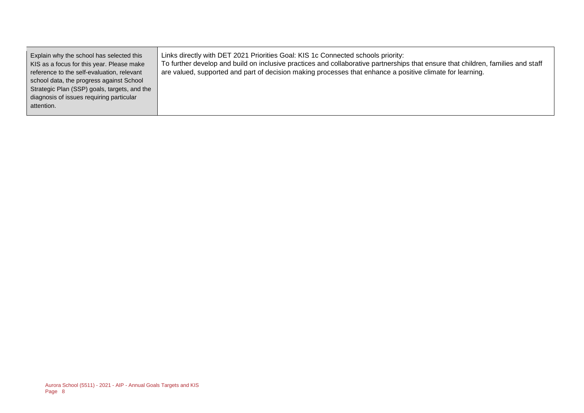| Explain why the school has selected this<br>KIS as a focus for this year. Please make<br>reference to the self-evaluation, relevant | Links directly with DET 2021 Priorities Goal: KIS 1c Connected schools priority:<br>To further develop and build on inclusive practices and collaborative partnerships that ensure that children, families and staff<br>are valued, supported and part of decision making processes that enhance a positive climate for learning. |
|-------------------------------------------------------------------------------------------------------------------------------------|-----------------------------------------------------------------------------------------------------------------------------------------------------------------------------------------------------------------------------------------------------------------------------------------------------------------------------------|
| school data, the progress against School                                                                                            |                                                                                                                                                                                                                                                                                                                                   |
| Strategic Plan (SSP) goals, targets, and the                                                                                        |                                                                                                                                                                                                                                                                                                                                   |
| diagnosis of issues requiring particular                                                                                            |                                                                                                                                                                                                                                                                                                                                   |
| attention.                                                                                                                          |                                                                                                                                                                                                                                                                                                                                   |
|                                                                                                                                     |                                                                                                                                                                                                                                                                                                                                   |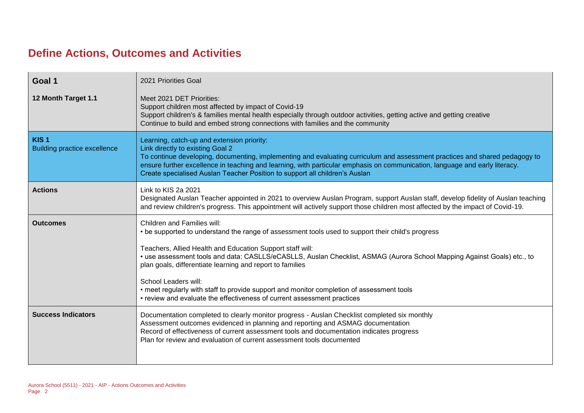### **Define Actions, Outcomes and Activities**

| Goal 1                                                  | 2021 Priorities Goal                                                                                                                                                                                                                                                                                                                                                                                                                                                                                                                                                                  |
|---------------------------------------------------------|---------------------------------------------------------------------------------------------------------------------------------------------------------------------------------------------------------------------------------------------------------------------------------------------------------------------------------------------------------------------------------------------------------------------------------------------------------------------------------------------------------------------------------------------------------------------------------------|
| 12 Month Target 1.1                                     | Meet 2021 DET Priorities:<br>Support children most affected by impact of Covid-19<br>Support children's & families mental health especially through outdoor activities, getting active and getting creative<br>Continue to build and embed strong connections with families and the community                                                                                                                                                                                                                                                                                         |
| KIS <sub>1</sub><br><b>Building practice excellence</b> | Learning, catch-up and extension priority:<br>Link directly to existing Goal 2<br>To continue developing, documenting, implementing and evaluating curriculum and assessment practices and shared pedagogy to<br>ensure further excellence in teaching and learning, with particular emphasis on communication, language and early literacy.<br>Create specialised Auslan Teacher Position to support all children's Auslan                                                                                                                                                           |
| <b>Actions</b>                                          | Link to KIS 2a 2021<br>Designated Auslan Teacher appointed in 2021 to overview Auslan Program, support Auslan staff, develop fidelity of Auslan teaching<br>and review children's progress. This appointment will actively support those children most affected by the impact of Covid-19.                                                                                                                                                                                                                                                                                            |
| <b>Outcomes</b>                                         | Children and Families will:<br>• be supported to understand the range of assessment tools used to support their child's progress<br>Teachers, Allied Health and Education Support staff will:<br>• use assessment tools and data: CASLLS/eCASLLS, Auslan Checklist, ASMAG (Aurora School Mapping Against Goals) etc., to<br>plan goals, differentiate learning and report to families<br>School Leaders will:<br>• meet regularly with staff to provide support and monitor completion of assessment tools<br>• review and evaluate the effectiveness of current assessment practices |
| <b>Success Indicators</b>                               | Documentation completed to clearly monitor progress - Auslan Checklist completed six monthly<br>Assessment outcomes evidenced in planning and reporting and ASMAG documentation<br>Record of effectiveness of current assessment tools and documentation indicates progress<br>Plan for review and evaluation of current assessment tools documented                                                                                                                                                                                                                                  |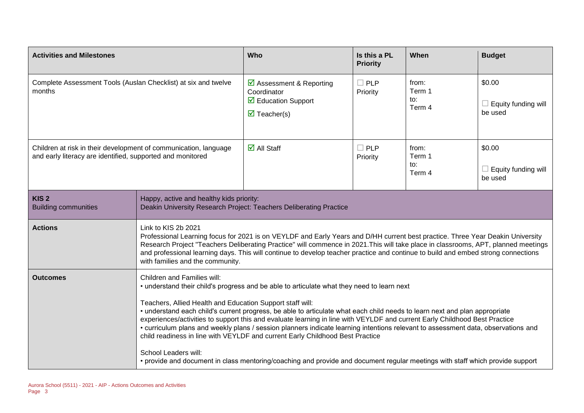| <b>Activities and Milestones</b>                                                                                               |                                                                                                                                                                                                                                                                                                                                                                                                                                                                                                                                             | Who                                                                                                                                       | Is this a PL<br><b>Priority</b> | When                             | <b>Budget</b>                                   |
|--------------------------------------------------------------------------------------------------------------------------------|---------------------------------------------------------------------------------------------------------------------------------------------------------------------------------------------------------------------------------------------------------------------------------------------------------------------------------------------------------------------------------------------------------------------------------------------------------------------------------------------------------------------------------------------|-------------------------------------------------------------------------------------------------------------------------------------------|---------------------------------|----------------------------------|-------------------------------------------------|
| Complete Assessment Tools (Auslan Checklist) at six and twelve<br>months                                                       |                                                                                                                                                                                                                                                                                                                                                                                                                                                                                                                                             | $\triangleright$ Assessment & Reporting<br>Coordinator<br>$\overline{\mathbf{2}}$ Education Support<br>$\overline{\mathbf{M}}$ Teacher(s) | $\Box$ PLP<br>Priority          | from:<br>Term 1<br>to:<br>Term 4 | \$0.00<br>$\Box$ Equity funding will<br>be used |
| Children at risk in their development of communication, language<br>and early literacy are identified, supported and monitored |                                                                                                                                                                                                                                                                                                                                                                                                                                                                                                                                             | $\overline{\mathbf{d}}$ All Staff                                                                                                         | $\Box$ PLP<br>Priority          | from:<br>Term 1<br>to:<br>Term 4 | \$0.00<br>Equity funding will<br>be used        |
| KIS <sub>2</sub><br><b>Building communities</b>                                                                                | Happy, active and healthy kids priority:<br>Deakin University Research Project: Teachers Deliberating Practice                                                                                                                                                                                                                                                                                                                                                                                                                              |                                                                                                                                           |                                 |                                  |                                                 |
| <b>Actions</b>                                                                                                                 | Link to KIS 2b 2021<br>Professional Learning focus for 2021 is on VEYLDF and Early Years and D/HH current best practice. Three Year Deakin University<br>Research Project "Teachers Deliberating Practice" will commence in 2021. This will take place in classrooms, APT, planned meetings<br>and professional learning days. This will continue to develop teacher practice and continue to build and embed strong connections<br>with families and the community.                                                                        |                                                                                                                                           |                                 |                                  |                                                 |
| <b>Outcomes</b>                                                                                                                | Children and Families will:<br>• understand their child's progress and be able to articulate what they need to learn next                                                                                                                                                                                                                                                                                                                                                                                                                   |                                                                                                                                           |                                 |                                  |                                                 |
|                                                                                                                                | Teachers, Allied Health and Education Support staff will:<br>• understand each child's current progress, be able to articulate what each child needs to learn next and plan appropriate<br>experiences/activities to support this and evaluate learning in line with VEYLDF and current Early Childhood Best Practice<br>• curriculum plans and weekly plans / session planners indicate learning intentions relevant to assessment data, observations and<br>child readiness in line with VEYLDF and current Early Childhood Best Practice |                                                                                                                                           |                                 |                                  |                                                 |
|                                                                                                                                | School Leaders will:                                                                                                                                                                                                                                                                                                                                                                                                                                                                                                                        | • provide and document in class mentoring/coaching and provide and document regular meetings with staff which provide support             |                                 |                                  |                                                 |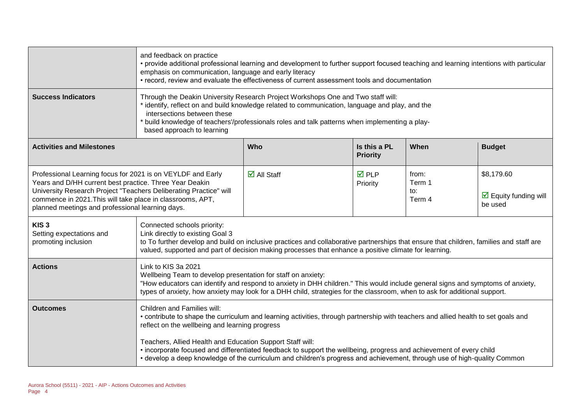|                                                                                                                                                                                                                                                                                                               | and feedback on practice<br>• provide additional professional learning and development to further support focused teaching and learning intentions with particular<br>emphasis on communication, language and early literacy<br>• record, review and evaluate the effectiveness of current assessment tools and documentation                      |                                   |                          |                                  |                                                                      |
|---------------------------------------------------------------------------------------------------------------------------------------------------------------------------------------------------------------------------------------------------------------------------------------------------------------|----------------------------------------------------------------------------------------------------------------------------------------------------------------------------------------------------------------------------------------------------------------------------------------------------------------------------------------------------|-----------------------------------|--------------------------|----------------------------------|----------------------------------------------------------------------|
| <b>Success Indicators</b>                                                                                                                                                                                                                                                                                     | Through the Deakin University Research Project Workshops One and Two staff will:<br>* identify, reflect on and build knowledge related to communication, language and play, and the<br>intersections between these<br>* build knowledge of teachers'/professionals roles and talk patterns when implementing a play-<br>based approach to learning |                                   |                          |                                  |                                                                      |
| <b>Activities and Milestones</b>                                                                                                                                                                                                                                                                              | Who<br>When<br>Is this a PL<br><b>Budget</b><br><b>Priority</b>                                                                                                                                                                                                                                                                                    |                                   |                          |                                  |                                                                      |
| Professional Learning focus for 2021 is on VEYLDF and Early<br>Years and D/HH current best practice. Three Year Deakin<br>University Research Project "Teachers Deliberating Practice" will<br>commence in 2021. This will take place in classrooms, APT,<br>planned meetings and professional learning days. |                                                                                                                                                                                                                                                                                                                                                    | $\overline{\mathsf{d}}$ All Staff | <b>☑</b> PLP<br>Priority | from:<br>Term 1<br>to:<br>Term 4 | \$8,179.60<br>$\overline{\mathbf{M}}$ Equity funding will<br>be used |
| KIS <sub>3</sub><br>Setting expectations and<br>promoting inclusion                                                                                                                                                                                                                                           | Connected schools priority:<br>Link directly to existing Goal 3<br>to To further develop and build on inclusive practices and collaborative partnerships that ensure that children, families and staff are<br>valued, supported and part of decision making processes that enhance a positive climate for learning.                                |                                   |                          |                                  |                                                                      |
| <b>Actions</b>                                                                                                                                                                                                                                                                                                | Link to KIS 3a 2021<br>Wellbeing Team to develop presentation for staff on anxiety:<br>"How educators can identify and respond to anxiety in DHH children." This would include general signs and symptoms of anxiety,<br>types of anxiety, how anxiety may look for a DHH child, strategies for the classroom, when to ask for additional support. |                                   |                          |                                  |                                                                      |
| <b>Outcomes</b>                                                                                                                                                                                                                                                                                               | Children and Families will:<br>• contribute to shape the curriculum and learning activities, through partnership with teachers and allied health to set goals and<br>reflect on the wellbeing and learning progress                                                                                                                                |                                   |                          |                                  |                                                                      |
|                                                                                                                                                                                                                                                                                                               | Teachers, Allied Health and Education Support Staff will:<br>• incorporate focused and differentiated feedback to support the wellbeing, progress and achievement of every child<br>• develop a deep knowledge of the curriculum and children's progress and achievement, through use of high-quality Common                                       |                                   |                          |                                  |                                                                      |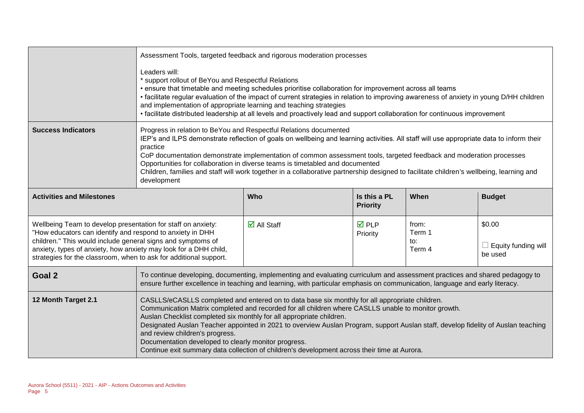|                                                                                                                                                                                                                                                                                                                                   |                                                                                                                                                                                                                                                                                                                                                                                                                                                                                                                                                                                                               | Assessment Tools, targeted feedback and rigorous moderation processes                                                                                                                                                                                      |                                 |                                  |                                                 |
|-----------------------------------------------------------------------------------------------------------------------------------------------------------------------------------------------------------------------------------------------------------------------------------------------------------------------------------|---------------------------------------------------------------------------------------------------------------------------------------------------------------------------------------------------------------------------------------------------------------------------------------------------------------------------------------------------------------------------------------------------------------------------------------------------------------------------------------------------------------------------------------------------------------------------------------------------------------|------------------------------------------------------------------------------------------------------------------------------------------------------------------------------------------------------------------------------------------------------------|---------------------------------|----------------------------------|-------------------------------------------------|
|                                                                                                                                                                                                                                                                                                                                   | Leaders will:<br>* support rollout of BeYou and Respectful Relations<br>• ensure that timetable and meeting schedules prioritise collaboration for improvement across all teams<br>• facilitate regular evaluation of the impact of current strategies in relation to improving awareness of anxiety in young D/HH children<br>and implementation of appropriate learning and teaching strategies<br>• facilitate distributed leadership at all levels and proactively lead and support collaboration for continuous improvement                                                                              |                                                                                                                                                                                                                                                            |                                 |                                  |                                                 |
| <b>Success Indicators</b>                                                                                                                                                                                                                                                                                                         | Progress in relation to BeYou and Respectful Relations documented<br>IEP's and ILPS demonstrate reflection of goals on wellbeing and learning activities. All staff will use appropriate data to inform their<br>practice<br>CoP documentation demonstrate implementation of common assessment tools, targeted feedback and moderation processes<br>Opportunities for collaboration in diverse teams is timetabled and documented<br>Children, families and staff will work together in a collaborative partnership designed to facilitate children's wellbeing, learning and<br>development                  |                                                                                                                                                                                                                                                            |                                 |                                  |                                                 |
| <b>Activities and Milestones</b>                                                                                                                                                                                                                                                                                                  |                                                                                                                                                                                                                                                                                                                                                                                                                                                                                                                                                                                                               | Who                                                                                                                                                                                                                                                        | Is this a PL<br><b>Priority</b> | When                             | <b>Budget</b>                                   |
| Wellbeing Team to develop presentation for staff on anxiety:<br>"How educators can identify and respond to anxiety in DHH<br>children." This would include general signs and symptoms of<br>anxiety, types of anxiety, how anxiety may look for a DHH child,<br>strategies for the classroom, when to ask for additional support. |                                                                                                                                                                                                                                                                                                                                                                                                                                                                                                                                                                                                               | $\overline{\mathbf{z}}$ All Staff                                                                                                                                                                                                                          | $\overline{M}$ PLP<br>Priority  | from:<br>Term 1<br>to:<br>Term 4 | \$0.00<br>$\Box$ Equity funding will<br>be used |
| Goal 2                                                                                                                                                                                                                                                                                                                            |                                                                                                                                                                                                                                                                                                                                                                                                                                                                                                                                                                                                               | To continue developing, documenting, implementing and evaluating curriculum and assessment practices and shared pedagogy to<br>ensure further excellence in teaching and learning, with particular emphasis on communication, language and early literacy. |                                 |                                  |                                                 |
| 12 Month Target 2.1                                                                                                                                                                                                                                                                                                               | CASLLS/eCASLLS completed and entered on to data base six monthly for all appropriate children.<br>Communication Matrix completed and recorded for all children where CASLLS unable to monitor growth.<br>Auslan Checklist completed six monthly for all appropriate children.<br>Designated Auslan Teacher appointed in 2021 to overview Auslan Program, support Auslan staff, develop fidelity of Auslan teaching<br>and review children's progress.<br>Documentation developed to clearly monitor progress.<br>Continue exit summary data collection of children's development across their time at Aurora. |                                                                                                                                                                                                                                                            |                                 |                                  |                                                 |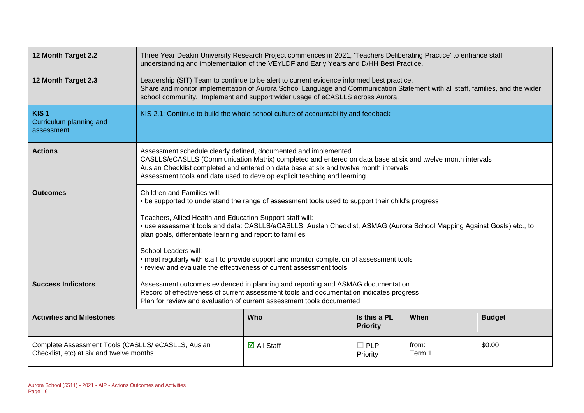| 12 Month Target 2.2                                                                            | Three Year Deakin University Research Project commences in 2021, 'Teachers Deliberating Practice' to enhance staff<br>understanding and implementation of the VEYLDF and Early Years and D/HH Best Practice.                                                                                                                                                                                                                                                                                                                                                                      |                                                                                                                                                                                                                                                                                                                                                    |                                 |                 |               |  |
|------------------------------------------------------------------------------------------------|-----------------------------------------------------------------------------------------------------------------------------------------------------------------------------------------------------------------------------------------------------------------------------------------------------------------------------------------------------------------------------------------------------------------------------------------------------------------------------------------------------------------------------------------------------------------------------------|----------------------------------------------------------------------------------------------------------------------------------------------------------------------------------------------------------------------------------------------------------------------------------------------------------------------------------------------------|---------------------------------|-----------------|---------------|--|
| 12 Month Target 2.3                                                                            |                                                                                                                                                                                                                                                                                                                                                                                                                                                                                                                                                                                   | Leadership (SIT) Team to continue to be alert to current evidence informed best practice.<br>Share and monitor implementation of Aurora School Language and Communication Statement with all staff, families, and the wider<br>school community. Implement and support wider usage of eCASLLS across Aurora.                                       |                                 |                 |               |  |
| KIS <sub>1</sub><br>Curriculum planning and<br>assessment                                      | KIS 2.1: Continue to build the whole school culture of accountability and feedback                                                                                                                                                                                                                                                                                                                                                                                                                                                                                                |                                                                                                                                                                                                                                                                                                                                                    |                                 |                 |               |  |
| <b>Actions</b>                                                                                 |                                                                                                                                                                                                                                                                                                                                                                                                                                                                                                                                                                                   | Assessment schedule clearly defined, documented and implemented<br>CASLLS/eCASLLS (Communication Matrix) completed and entered on data base at six and twelve month intervals<br>Auslan Checklist completed and entered on data base at six and twelve month intervals<br>Assessment tools and data used to develop explicit teaching and learning |                                 |                 |               |  |
| <b>Outcomes</b>                                                                                | Children and Families will:<br>• be supported to understand the range of assessment tools used to support their child's progress<br>Teachers, Allied Health and Education Support staff will:<br>• use assessment tools and data: CASLLS/eCASLLS, Auslan Checklist, ASMAG (Aurora School Mapping Against Goals) etc., to<br>plan goals, differentiate learning and report to families<br>School Leaders will:<br>• meet regularly with staff to provide support and monitor completion of assessment tools<br>• review and evaluate the effectiveness of current assessment tools |                                                                                                                                                                                                                                                                                                                                                    |                                 |                 |               |  |
| <b>Success Indicators</b>                                                                      | Assessment outcomes evidenced in planning and reporting and ASMAG documentation<br>Record of effectiveness of current assessment tools and documentation indicates progress<br>Plan for review and evaluation of current assessment tools documented.                                                                                                                                                                                                                                                                                                                             |                                                                                                                                                                                                                                                                                                                                                    |                                 |                 |               |  |
| <b>Activities and Milestones</b>                                                               |                                                                                                                                                                                                                                                                                                                                                                                                                                                                                                                                                                                   | <b>Who</b>                                                                                                                                                                                                                                                                                                                                         | Is this a PL<br><b>Priority</b> | When            | <b>Budget</b> |  |
| Complete Assessment Tools (CASLLS/ eCASLLS, Auslan<br>Checklist, etc) at six and twelve months |                                                                                                                                                                                                                                                                                                                                                                                                                                                                                                                                                                                   | $\overline{\mathbf{z}}$ All Staff                                                                                                                                                                                                                                                                                                                  | $\square$ PLP<br>Priority       | from:<br>Term 1 | \$0.00        |  |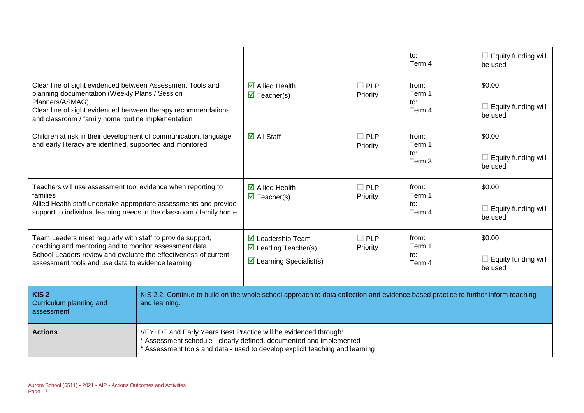|                                                                                                                                                                                                                                                        |                                                                                                                                                                                                                        |                                                                                                                   |                        | to:<br>Term 4                               | Equity funding will<br>be used           |
|--------------------------------------------------------------------------------------------------------------------------------------------------------------------------------------------------------------------------------------------------------|------------------------------------------------------------------------------------------------------------------------------------------------------------------------------------------------------------------------|-------------------------------------------------------------------------------------------------------------------|------------------------|---------------------------------------------|------------------------------------------|
| Clear line of sight evidenced between Assessment Tools and<br>planning documentation (Weekly Plans / Session<br>Planners/ASMAG)<br>Clear line of sight evidenced between therapy recommendations<br>and classroom / family home routine implementation |                                                                                                                                                                                                                        | $\overline{\mathbf{2}}$ Allied Health<br>$\overline{\mathbf{M}}$ Teacher(s)                                       | $\Box$ PLP<br>Priority | from:<br>Term 1<br>to:<br>Term 4            | \$0.00<br>Equity funding will<br>be used |
| Children at risk in their development of communication, language<br>and early literacy are identified, supported and monitored                                                                                                                         |                                                                                                                                                                                                                        | $\overline{\mathsf{M}}$ All Staff                                                                                 | $\Box$ PLP<br>Priority | from:<br>Term 1<br>$\mathsf{to}:$<br>Term 3 | \$0.00<br>Equity funding will<br>be used |
| Teachers will use assessment tool evidence when reporting to<br>families<br>Allied Health staff undertake appropriate assessments and provide<br>support to individual learning needs in the classroom / family home                                   |                                                                                                                                                                                                                        | $\overline{\mathbf{Z}}$ Allied Health<br>$\overline{\mathbf{M}}$ Teacher(s)                                       | $\Box$ PLP<br>Priority | from:<br>Term 1<br>to:<br>Term 4            | \$0.00<br>Equity funding will<br>be used |
| Team Leaders meet regularly with staff to provide support,<br>coaching and mentoring and to monitor assessment data<br>School Leaders review and evaluate the effectiveness of current<br>assessment tools and use data to evidence learning           |                                                                                                                                                                                                                        | $\triangledown$ Leadership Team<br>$\triangleright$ Leading Teacher(s)<br>$\triangleright$ Learning Specialist(s) | $\Box$ PLP<br>Priority | from:<br>Term 1<br>to:<br>Term 4            | \$0.00<br>Equity funding will<br>be used |
| KIS <sub>2</sub><br>Curriculum planning and<br>assessment                                                                                                                                                                                              | KIS 2.2: Continue to build on the whole school approach to data collection and evidence based practice to further inform teaching<br>and learning.                                                                     |                                                                                                                   |                        |                                             |                                          |
| <b>Actions</b>                                                                                                                                                                                                                                         | VEYLDF and Early Years Best Practice will be evidenced through:<br>* Assessment schedule - clearly defined, documented and implemented<br>* Assessment tools and data - used to develop explicit teaching and learning |                                                                                                                   |                        |                                             |                                          |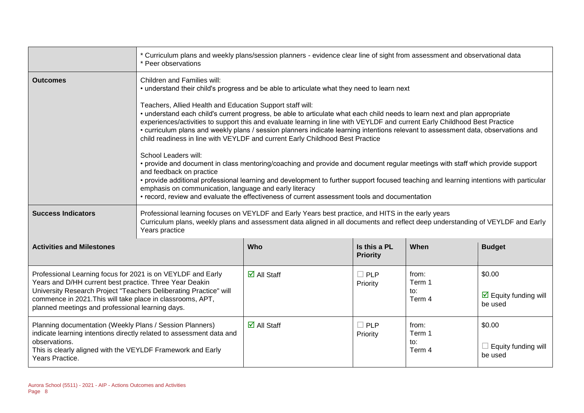|                                                                                                                                                                                                                                                                                                               | * Curriculum plans and weekly plans/session planners - evidence clear line of sight from assessment and observational data<br>* Peer observations                                                                                                                                                                                                                                                                                                                                                                                                                                                                                                                                                            |                                   |                                 |                                  |                                                           |
|---------------------------------------------------------------------------------------------------------------------------------------------------------------------------------------------------------------------------------------------------------------------------------------------------------------|--------------------------------------------------------------------------------------------------------------------------------------------------------------------------------------------------------------------------------------------------------------------------------------------------------------------------------------------------------------------------------------------------------------------------------------------------------------------------------------------------------------------------------------------------------------------------------------------------------------------------------------------------------------------------------------------------------------|-----------------------------------|---------------------------------|----------------------------------|-----------------------------------------------------------|
| <b>Outcomes</b>                                                                                                                                                                                                                                                                                               | Children and Families will:<br>• understand their child's progress and be able to articulate what they need to learn next<br>Teachers, Allied Health and Education Support staff will:<br>• understand each child's current progress, be able to articulate what each child needs to learn next and plan appropriate<br>experiences/activities to support this and evaluate learning in line with VEYLDF and current Early Childhood Best Practice                                                                                                                                                                                                                                                           |                                   |                                 |                                  |                                                           |
|                                                                                                                                                                                                                                                                                                               | • curriculum plans and weekly plans / session planners indicate learning intentions relevant to assessment data, observations and<br>child readiness in line with VEYLDF and current Early Childhood Best Practice<br>School Leaders will:<br>• provide and document in class mentoring/coaching and provide and document regular meetings with staff which provide support<br>and feedback on practice<br>• provide additional professional learning and development to further support focused teaching and learning intentions with particular<br>emphasis on communication, language and early literacy<br>• record, review and evaluate the effectiveness of current assessment tools and documentation |                                   |                                 |                                  |                                                           |
| <b>Success Indicators</b>                                                                                                                                                                                                                                                                                     | Professional learning focuses on VEYLDF and Early Years best practice, and HITS in the early years<br>Curriculum plans, weekly plans and assessment data aligned in all documents and reflect deep understanding of VEYLDF and Early<br>Years practice                                                                                                                                                                                                                                                                                                                                                                                                                                                       |                                   |                                 |                                  |                                                           |
| <b>Activities and Milestones</b>                                                                                                                                                                                                                                                                              |                                                                                                                                                                                                                                                                                                                                                                                                                                                                                                                                                                                                                                                                                                              | <b>Who</b>                        | Is this a PL<br><b>Priority</b> | When                             | <b>Budget</b>                                             |
| Professional Learning focus for 2021 is on VEYLDF and Early<br>Years and D/HH current best practice. Three Year Deakin<br>University Research Project "Teachers Deliberating Practice" will<br>commence in 2021. This will take place in classrooms, APT,<br>planned meetings and professional learning days. |                                                                                                                                                                                                                                                                                                                                                                                                                                                                                                                                                                                                                                                                                                              | $\overline{\mathsf{M}}$ All Staff | $\square$ PLP<br>Priority       | from:<br>Term 1<br>to:<br>Term 4 | \$0.00<br>$\triangleright$ Equity funding will<br>be used |
| Planning documentation (Weekly Plans / Session Planners)<br>indicate learning intentions directly related to assessment data and<br>observations.<br>This is clearly aligned with the VEYLDF Framework and Early<br>Years Practice.                                                                           |                                                                                                                                                                                                                                                                                                                                                                                                                                                                                                                                                                                                                                                                                                              | $\overline{\mathsf{M}}$ All Staff | $\square$ PLP<br>Priority       | from:<br>Term 1<br>to:<br>Term 4 | \$0.00<br>$\Box$ Equity funding will<br>be used           |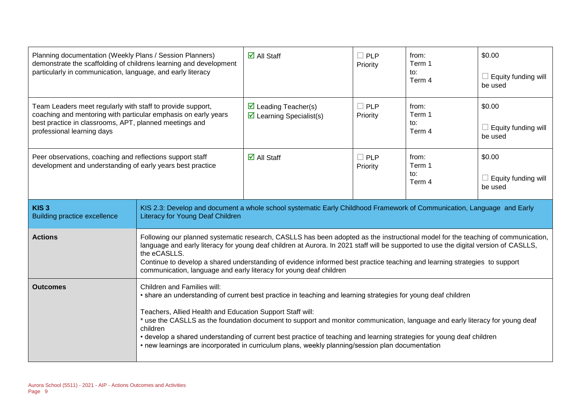| Planning documentation (Weekly Plans / Session Planners)<br>demonstrate the scaffolding of childrens learning and development<br>particularly in communication, language, and early literacy                         |                                                                                                                                                                                                                                                                                                                                                                                                                                                                                                                                                                                                                                                          | $\overline{\mathsf{M}}$ All Staff                                                                                                                                                                                                                                                                                                                                                                     | $\Box$ PLP<br>Priority | from:<br>Term 1<br>to:<br>Term 4 | \$0.00<br>$\Box$ Equity funding will<br>be used |
|----------------------------------------------------------------------------------------------------------------------------------------------------------------------------------------------------------------------|----------------------------------------------------------------------------------------------------------------------------------------------------------------------------------------------------------------------------------------------------------------------------------------------------------------------------------------------------------------------------------------------------------------------------------------------------------------------------------------------------------------------------------------------------------------------------------------------------------------------------------------------------------|-------------------------------------------------------------------------------------------------------------------------------------------------------------------------------------------------------------------------------------------------------------------------------------------------------------------------------------------------------------------------------------------------------|------------------------|----------------------------------|-------------------------------------------------|
| Team Leaders meet regularly with staff to provide support,<br>coaching and mentoring with particular emphasis on early years<br>best practice in classrooms, APT, planned meetings and<br>professional learning days |                                                                                                                                                                                                                                                                                                                                                                                                                                                                                                                                                                                                                                                          | $\triangleright$ Leading Teacher(s)<br>$\triangleright$ Learning Specialist(s)                                                                                                                                                                                                                                                                                                                        | $\Box$ PLP<br>Priority | from:<br>Term 1<br>to:<br>Term 4 | \$0.00<br>$\Box$ Equity funding will<br>be used |
| Peer observations, coaching and reflections support staff<br>development and understanding of early years best practice                                                                                              |                                                                                                                                                                                                                                                                                                                                                                                                                                                                                                                                                                                                                                                          | $\overline{\mathsf{M}}$ All Staff                                                                                                                                                                                                                                                                                                                                                                     | $\Box$ PLP<br>Priority | from:<br>Term 1<br>to:<br>Term 4 | \$0.00<br>$\Box$ Equity funding will<br>be used |
| KIS <sub>3</sub><br><b>Building practice excellence</b>                                                                                                                                                              | <b>Literacy for Young Deaf Children</b>                                                                                                                                                                                                                                                                                                                                                                                                                                                                                                                                                                                                                  | KIS 2.3: Develop and document a whole school systematic Early Childhood Framework of Communication, Language and Early                                                                                                                                                                                                                                                                                |                        |                                  |                                                 |
| <b>Actions</b>                                                                                                                                                                                                       | the eCASLLS.                                                                                                                                                                                                                                                                                                                                                                                                                                                                                                                                                                                                                                             | Following our planned systematic research, CASLLS has been adopted as the instructional model for the teaching of communication,<br>language and early literacy for young deaf children at Aurora. In 2021 staff will be supported to use the digital version of CASLLS,<br>Continue to develop a shared understanding of evidence informed best practice teaching and learning strategies to support |                        |                                  |                                                 |
| <b>Outcomes</b>                                                                                                                                                                                                      | communication, language and early literacy for young deaf children<br>Children and Families will:<br>• share an understanding of current best practice in teaching and learning strategies for young deaf children<br>Teachers, Allied Health and Education Support Staff will:<br>* use the CASLLS as the foundation document to support and monitor communication, language and early literacy for young deaf<br>children<br>• develop a shared understanding of current best practice of teaching and learning strategies for young deaf children<br>• new learnings are incorporated in curriculum plans, weekly planning/session plan documentation |                                                                                                                                                                                                                                                                                                                                                                                                       |                        |                                  |                                                 |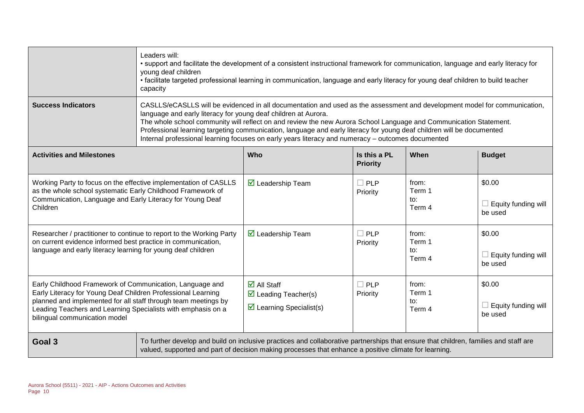|                                                                                                                                                                                                                                                                                             | Leaders will:<br>• support and facilitate the development of a consistent instructional framework for communication, language and early literacy for<br>young deaf children<br>• facilitate targeted professional learning in communication, language and early literacy for young deaf children to build teacher<br>capacity                                                                                                                                                                                                                  |                                                                                                                                                                                                                                               |                                 |                                  |                                                 |
|---------------------------------------------------------------------------------------------------------------------------------------------------------------------------------------------------------------------------------------------------------------------------------------------|------------------------------------------------------------------------------------------------------------------------------------------------------------------------------------------------------------------------------------------------------------------------------------------------------------------------------------------------------------------------------------------------------------------------------------------------------------------------------------------------------------------------------------------------|-----------------------------------------------------------------------------------------------------------------------------------------------------------------------------------------------------------------------------------------------|---------------------------------|----------------------------------|-------------------------------------------------|
| <b>Success Indicators</b>                                                                                                                                                                                                                                                                   | CASLLS/eCASLLS will be evidenced in all documentation and used as the assessment and development model for communication,<br>language and early literacy for young deaf children at Aurora.<br>The whole school community will reflect on and review the new Aurora School Language and Communication Statement.<br>Professional learning targeting communication, language and early literacy for young deaf children will be documented<br>Internal professional learning focuses on early years literacy and numeracy - outcomes documented |                                                                                                                                                                                                                                               |                                 |                                  |                                                 |
| <b>Activities and Milestones</b>                                                                                                                                                                                                                                                            |                                                                                                                                                                                                                                                                                                                                                                                                                                                                                                                                                | <b>Who</b>                                                                                                                                                                                                                                    | Is this a PL<br><b>Priority</b> | When                             | <b>Budget</b>                                   |
| Working Party to focus on the effective implementation of CASLLS<br>as the whole school systematic Early Childhood Framework of<br>Communication, Language and Early Literacy for Young Deaf<br>Children                                                                                    |                                                                                                                                                                                                                                                                                                                                                                                                                                                                                                                                                | ◘ Leadership Team                                                                                                                                                                                                                             | $\Box$ PLP<br>Priority          | from:<br>Term 1<br>to:<br>Term 4 | \$0.00<br>$\Box$ Equity funding will<br>be used |
| Researcher / practitioner to continue to report to the Working Party<br>on current evidence informed best practice in communication,<br>language and early literacy learning for young deaf children                                                                                        |                                                                                                                                                                                                                                                                                                                                                                                                                                                                                                                                                | $\overline{\mathbf{M}}$ Leadership Team                                                                                                                                                                                                       | $\square$ PLP<br>Priority       | from:<br>Term 1<br>to:<br>Term 4 | \$0.00<br>$\Box$ Equity funding will<br>be used |
| Early Childhood Framework of Communication, Language and<br>Early Literacy for Young Deaf Children Professional Learning<br>planned and implemented for all staff through team meetings by<br>Leading Teachers and Learning Specialists with emphasis on a<br>bilingual communication model |                                                                                                                                                                                                                                                                                                                                                                                                                                                                                                                                                | $\overline{\mathbf{z}}$ All Staff<br>$\triangleright$ Leading Teacher(s)<br>$\triangleright$ Learning Specialist(s)                                                                                                                           | $\square$ PLP<br>Priority       | from:<br>Term 1<br>to:<br>Term 4 | \$0.00<br>$\Box$ Equity funding will<br>be used |
| Goal 3                                                                                                                                                                                                                                                                                      |                                                                                                                                                                                                                                                                                                                                                                                                                                                                                                                                                | To further develop and build on inclusive practices and collaborative partnerships that ensure that children, families and staff are<br>valued, supported and part of decision making processes that enhance a positive climate for learning. |                                 |                                  |                                                 |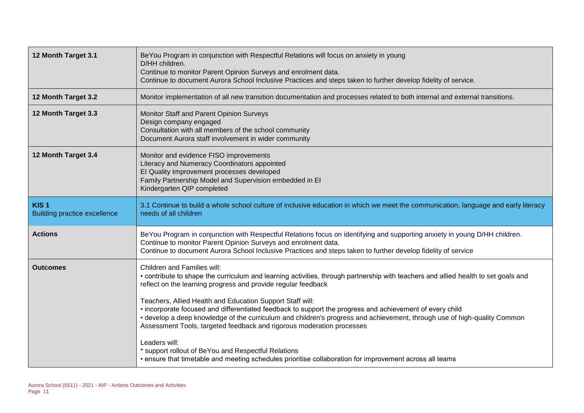| 12 Month Target 3.1                                     | BeYou Program in conjunction with Respectful Relations will focus on anxiety in young<br>D/HH children.<br>Continue to monitor Parent Opinion Surveys and enrolment data.<br>Continue to document Aurora School Inclusive Practices and steps taken to further develop fidelity of service.                                                                                                                                                                                                                                             |
|---------------------------------------------------------|-----------------------------------------------------------------------------------------------------------------------------------------------------------------------------------------------------------------------------------------------------------------------------------------------------------------------------------------------------------------------------------------------------------------------------------------------------------------------------------------------------------------------------------------|
| 12 Month Target 3.2                                     | Monitor implementation of all new transition documentation and processes related to both internal and external transitions.                                                                                                                                                                                                                                                                                                                                                                                                             |
| 12 Month Target 3.3                                     | Monitor Staff and Parent Opinion Surveys<br>Design company engaged<br>Consultation with all members of the school community<br>Document Aurora staff involvement in wider community                                                                                                                                                                                                                                                                                                                                                     |
| 12 Month Target 3.4                                     | Monitor and evidence FISO improvements<br>Literacy and Numeracy Coordinators appointed<br>El Quality Improvement processes developed<br>Family Partnership Model and Supervision embedded in El<br>Kindergarten QIP completed                                                                                                                                                                                                                                                                                                           |
| KIS <sub>1</sub><br><b>Building practice excellence</b> | 3.1 Continue to build a whole school culture of inclusive education in which we meet the communication, language and early literacy<br>needs of all children                                                                                                                                                                                                                                                                                                                                                                            |
| <b>Actions</b>                                          | BeYou Program in conjunction with Respectful Relations focus on identifying and supporting anxiety in young D/HH children.<br>Continue to monitor Parent Opinion Surveys and enrolment data.<br>Continue to document Aurora School Inclusive Practices and steps taken to further develop fidelity of service                                                                                                                                                                                                                           |
| <b>Outcomes</b>                                         | Children and Families will:<br>• contribute to shape the curriculum and learning activities, through partnership with teachers and allied health to set goals and<br>reflect on the learning progress and provide regular feedback<br>Teachers, Allied Health and Education Support Staff will:<br>• incorporate focused and differentiated feedback to support the progress and achievement of every child<br>• develop a deep knowledge of the curriculum and children's progress and achievement, through use of high-quality Common |
|                                                         | Assessment Tools, targeted feedback and rigorous moderation processes<br>Leaders will:<br>* support rollout of BeYou and Respectful Relations<br>• ensure that timetable and meeting schedules prioritise collaboration for improvement across all teams                                                                                                                                                                                                                                                                                |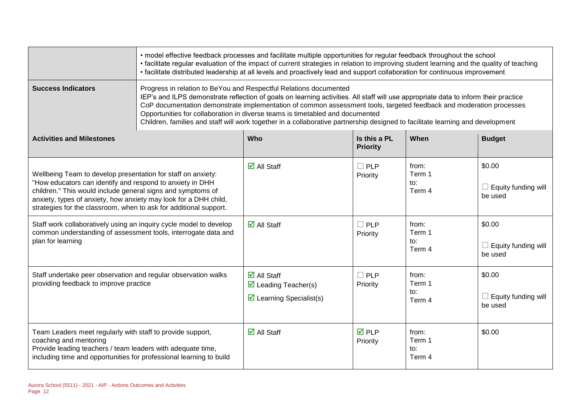|                                                                                                                                                                                                                                                                                                                                   | • model effective feedback processes and facilitate multiple opportunities for regular feedback throughout the school<br>• facilitate regular evaluation of the impact of current strategies in relation to improving student learning and the quality of teaching<br>• facilitate distributed leadership at all levels and proactively lead and support collaboration for continuous improvement                                                                                                                                                  |                                                                                                                     |                                 |                                  |                                                 |  |
|-----------------------------------------------------------------------------------------------------------------------------------------------------------------------------------------------------------------------------------------------------------------------------------------------------------------------------------|----------------------------------------------------------------------------------------------------------------------------------------------------------------------------------------------------------------------------------------------------------------------------------------------------------------------------------------------------------------------------------------------------------------------------------------------------------------------------------------------------------------------------------------------------|---------------------------------------------------------------------------------------------------------------------|---------------------------------|----------------------------------|-------------------------------------------------|--|
| <b>Success Indicators</b>                                                                                                                                                                                                                                                                                                         | Progress in relation to BeYou and Respectful Relations documented<br>IEP's and ILPS demonstrate reflection of goals on learning activities. All staff will use appropriate data to inform their practice<br>CoP documentation demonstrate implementation of common assessment tools, targeted feedback and moderation processes<br>Opportunities for collaboration in diverse teams is timetabled and documented<br>Children, families and staff will work together in a collaborative partnership designed to facilitate learning and development |                                                                                                                     |                                 |                                  |                                                 |  |
| <b>Activities and Milestones</b>                                                                                                                                                                                                                                                                                                  |                                                                                                                                                                                                                                                                                                                                                                                                                                                                                                                                                    | Who                                                                                                                 | Is this a PL<br><b>Priority</b> | When                             | <b>Budget</b>                                   |  |
| Wellbeing Team to develop presentation for staff on anxiety:<br>"How educators can identify and respond to anxiety in DHH<br>children." This would include general signs and symptoms of<br>anxiety, types of anxiety, how anxiety may look for a DHH child,<br>strategies for the classroom, when to ask for additional support. |                                                                                                                                                                                                                                                                                                                                                                                                                                                                                                                                                    | $\overline{\mathsf{d}}$ All Staff                                                                                   | $\Box$ PLP<br>Priority          | from:<br>Term 1<br>to:<br>Term 4 | \$0.00<br>$\Box$ Equity funding will<br>be used |  |
| Staff work collaboratively using an inquiry cycle model to develop<br>common understanding of assessment tools, interrogate data and<br>plan for learning                                                                                                                                                                         |                                                                                                                                                                                                                                                                                                                                                                                                                                                                                                                                                    | $\overline{\mathsf{d}}$ All Staff                                                                                   | $\Box$ PLP<br>Priority          | from:<br>Term 1<br>to:<br>Term 4 | \$0.00<br>$\Box$ Equity funding will<br>be used |  |
| Staff undertake peer observation and regular observation walks<br>providing feedback to improve practice                                                                                                                                                                                                                          |                                                                                                                                                                                                                                                                                                                                                                                                                                                                                                                                                    | $\overline{\mathbf{M}}$ All Staff<br>$\triangleright$ Leading Teacher(s)<br>$\triangleright$ Learning Specialist(s) | $\Box$ PLP<br>Priority          | from:<br>Term 1<br>to:<br>Term 4 | \$0.00<br>$\Box$ Equity funding will<br>be used |  |
| Team Leaders meet regularly with staff to provide support,<br>coaching and mentoring<br>Provide leading teachers / team leaders with adequate time,<br>including time and opportunities for professional learning to build                                                                                                        |                                                                                                                                                                                                                                                                                                                                                                                                                                                                                                                                                    | $\overline{\mathbf{d}}$ All Staff                                                                                   | $\overline{M}$ PLP<br>Priority  | from:<br>Term 1<br>to:<br>Term 4 | \$0.00                                          |  |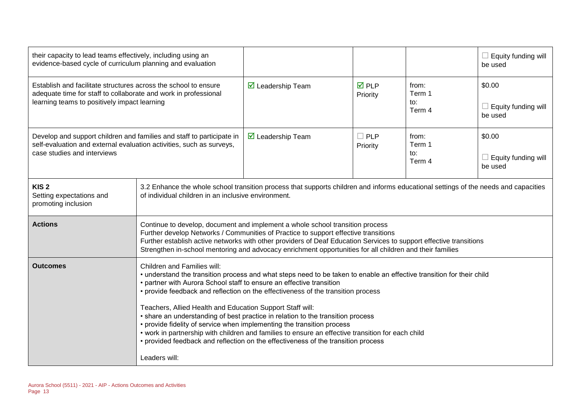| their capacity to lead teams effectively, including using an<br>evidence-based cycle of curriculum planning and evaluation                                                         |                                                                                                                                                                                                                                                                                                                                                                                                                                                                                                                                                                                                                                                                                                                                             |                                                                                                                                                                                                                                                                                                                                                                                                        |                                |                                  | $\Box$ Equity funding will<br>be used           |  |  |
|------------------------------------------------------------------------------------------------------------------------------------------------------------------------------------|---------------------------------------------------------------------------------------------------------------------------------------------------------------------------------------------------------------------------------------------------------------------------------------------------------------------------------------------------------------------------------------------------------------------------------------------------------------------------------------------------------------------------------------------------------------------------------------------------------------------------------------------------------------------------------------------------------------------------------------------|--------------------------------------------------------------------------------------------------------------------------------------------------------------------------------------------------------------------------------------------------------------------------------------------------------------------------------------------------------------------------------------------------------|--------------------------------|----------------------------------|-------------------------------------------------|--|--|
| Establish and facilitate structures across the school to ensure<br>adequate time for staff to collaborate and work in professional<br>learning teams to positively impact learning |                                                                                                                                                                                                                                                                                                                                                                                                                                                                                                                                                                                                                                                                                                                                             | $\triangleright$ Leadership Team                                                                                                                                                                                                                                                                                                                                                                       | $\overline{M}$ PLP<br>Priority | from:<br>Term 1<br>to:<br>Term 4 | \$0.00<br>Equity funding will<br>be used        |  |  |
| Develop and support children and families and staff to participate in<br>self-evaluation and external evaluation activities, such as surveys,<br>case studies and interviews       |                                                                                                                                                                                                                                                                                                                                                                                                                                                                                                                                                                                                                                                                                                                                             | $\triangleright$ Leadership Team                                                                                                                                                                                                                                                                                                                                                                       | $\Box$ PLP<br>Priority         | from:<br>Term 1<br>to:<br>Term 4 | \$0.00<br>$\Box$ Equity funding will<br>be used |  |  |
| KIS <sub>2</sub><br>Setting expectations and<br>promoting inclusion                                                                                                                | 3.2 Enhance the whole school transition process that supports children and informs educational settings of the needs and capacities<br>of individual children in an inclusive environment.                                                                                                                                                                                                                                                                                                                                                                                                                                                                                                                                                  |                                                                                                                                                                                                                                                                                                                                                                                                        |                                |                                  |                                                 |  |  |
| <b>Actions</b>                                                                                                                                                                     |                                                                                                                                                                                                                                                                                                                                                                                                                                                                                                                                                                                                                                                                                                                                             | Continue to develop, document and implement a whole school transition process<br>Further develop Networks / Communities of Practice to support effective transitions<br>Further establish active networks with other providers of Deaf Education Services to support effective transitions<br>Strengthen in-school mentoring and advocacy enrichment opportunities for all children and their families |                                |                                  |                                                 |  |  |
| <b>Outcomes</b>                                                                                                                                                                    | <b>Children and Families will:</b><br>• understand the transition process and what steps need to be taken to enable an effective transition for their child<br>• partner with Aurora School staff to ensure an effective transition<br>• provide feedback and reflection on the effectiveness of the transition process<br>Teachers, Allied Health and Education Support Staff will:<br>• share an understanding of best practice in relation to the transition process<br>• provide fidelity of service when implementing the transition process<br>• work in partnership with children and families to ensure an effective transition for each child<br>• provided feedback and reflection on the effectiveness of the transition process |                                                                                                                                                                                                                                                                                                                                                                                                        |                                |                                  |                                                 |  |  |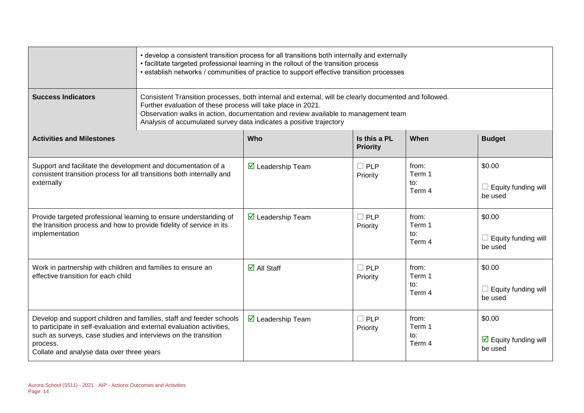|                                                                                                                                                                                                  | • develop a consistent transition process for all transitions both internally and externally<br>• facilitate targeted professional learning in the rollout of the transition process<br>• establish networks / communities of practice to support effective transition processes                                                   |                                   |                                 |                                  |                                                           |  |
|--------------------------------------------------------------------------------------------------------------------------------------------------------------------------------------------------|------------------------------------------------------------------------------------------------------------------------------------------------------------------------------------------------------------------------------------------------------------------------------------------------------------------------------------|-----------------------------------|---------------------------------|----------------------------------|-----------------------------------------------------------|--|
| <b>Success Indicators</b>                                                                                                                                                                        | Consistent Transition processes, both internal and external, will be clearly documented and followed.<br>Further evaluation of these process will take place in 2021.<br>Observation walks in action, documentation and review available to management team<br>Analysis of accumulated survey data indicates a positive trajectory |                                   |                                 |                                  |                                                           |  |
| <b>Activities and Milestones</b>                                                                                                                                                                 |                                                                                                                                                                                                                                                                                                                                    | <b>Who</b>                        | Is this a PL<br><b>Priority</b> | When                             | <b>Budget</b>                                             |  |
| Support and facilitate the development and documentation of a<br>consistent transition process for all transitions both internally and<br>externally                                             |                                                                                                                                                                                                                                                                                                                                    | $\boxtimes$ Leadership Team       | $\Box$ PLP<br>Priority          | from:<br>Term 1<br>to:<br>Term 4 | \$0.00<br>Equity funding will<br>be used                  |  |
| Provide targeted professional learning to ensure understanding of<br>the transition process and how to provide fidelity of service in its<br>implementation                                      |                                                                                                                                                                                                                                                                                                                                    | $\triangleright$ Leadership Team  | PLP<br>П<br>Priority            | from:<br>Term 1<br>to:<br>Term 4 | \$0.00<br>$\Box$ Equity funding will<br>be used           |  |
| Work in partnership with children and families to ensure an<br>effective transition for each child                                                                                               |                                                                                                                                                                                                                                                                                                                                    | $\overline{\mathbf{d}}$ All Staff | $\Box$ PLP<br>Priority          | from:<br>Term 1<br>to:<br>Term 4 | \$0.00<br>$\Box$ Equity funding will<br>be used           |  |
| to participate in self-evaluation and external evaluation activities,<br>such as surveys, case studies and interviews on the transition<br>process.<br>Collate and analyse data over three years | Develop and support children and families, staff and feeder schools                                                                                                                                                                                                                                                                | $\boxtimes$ Leadership Team       | $\Box$ PLP<br>Priority          | from:<br>Term 1<br>to:<br>Term 4 | \$0.00<br>$\triangleright$ Equity funding will<br>be used |  |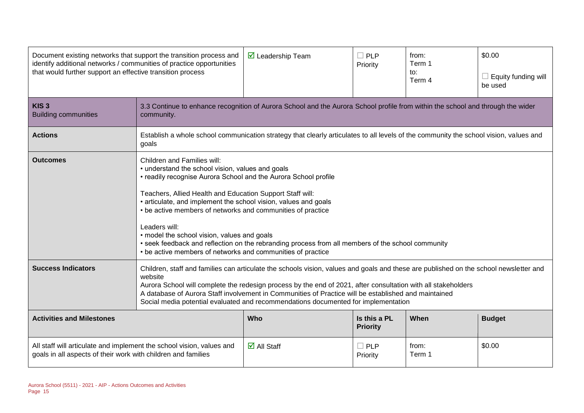| Document existing networks that support the transition process and<br>identify additional networks / communities of practice opportunities<br>that would further support an effective transition process |                                                                                                                                                                                                                                                                                                                                                                                                                                                                 | $\triangleright$ Leadership Team                                                                                                                                                                                                                                                                                                                                                                                                                                       | $\Box$ PLP<br>Priority          | from:<br>Term 1<br>to:<br>Term 4 | \$0.00<br>$\Box$ Equity funding will<br>be used |  |
|----------------------------------------------------------------------------------------------------------------------------------------------------------------------------------------------------------|-----------------------------------------------------------------------------------------------------------------------------------------------------------------------------------------------------------------------------------------------------------------------------------------------------------------------------------------------------------------------------------------------------------------------------------------------------------------|------------------------------------------------------------------------------------------------------------------------------------------------------------------------------------------------------------------------------------------------------------------------------------------------------------------------------------------------------------------------------------------------------------------------------------------------------------------------|---------------------------------|----------------------------------|-------------------------------------------------|--|
| KIS <sub>3</sub><br><b>Building communities</b>                                                                                                                                                          | community.                                                                                                                                                                                                                                                                                                                                                                                                                                                      | 3.3 Continue to enhance recognition of Aurora School and the Aurora School profile from within the school and through the wider                                                                                                                                                                                                                                                                                                                                        |                                 |                                  |                                                 |  |
| <b>Actions</b>                                                                                                                                                                                           | goals                                                                                                                                                                                                                                                                                                                                                                                                                                                           | Establish a whole school communication strategy that clearly articulates to all levels of the community the school vision, values and                                                                                                                                                                                                                                                                                                                                  |                                 |                                  |                                                 |  |
| <b>Outcomes</b>                                                                                                                                                                                          | Children and Families will:<br>Leaders will:<br>• be active members of networks and communities of practice                                                                                                                                                                                                                                                                                                                                                     | • understand the school vision, values and goals<br>• readily recognise Aurora School and the Aurora School profile<br>Teachers, Allied Health and Education Support Staff will:<br>• articulate, and implement the school vision, values and goals<br>• be active members of networks and communities of practice<br>• model the school vision, values and goals<br>• seek feedback and reflection on the rebranding process from all members of the school community |                                 |                                  |                                                 |  |
| <b>Success Indicators</b>                                                                                                                                                                                | Children, staff and families can articulate the schools vision, values and goals and these are published on the school newsletter and<br>website<br>Aurora School will complete the redesign process by the end of 2021, after consultation with all stakeholders<br>A database of Aurora Staff involvement in Communities of Practice will be established and maintained<br>Social media potential evaluated and recommendations documented for implementation |                                                                                                                                                                                                                                                                                                                                                                                                                                                                        |                                 |                                  |                                                 |  |
| <b>Activities and Milestones</b>                                                                                                                                                                         |                                                                                                                                                                                                                                                                                                                                                                                                                                                                 | Who                                                                                                                                                                                                                                                                                                                                                                                                                                                                    | Is this a PL<br><b>Priority</b> | When                             | <b>Budget</b>                                   |  |
| All staff will articulate and implement the school vision, values and<br>goals in all aspects of their work with children and families                                                                   |                                                                                                                                                                                                                                                                                                                                                                                                                                                                 | $\overline{\mathbf{M}}$ All Staff                                                                                                                                                                                                                                                                                                                                                                                                                                      | $\square$ PLP<br>Priority       | from:<br>Term 1                  | \$0.00                                          |  |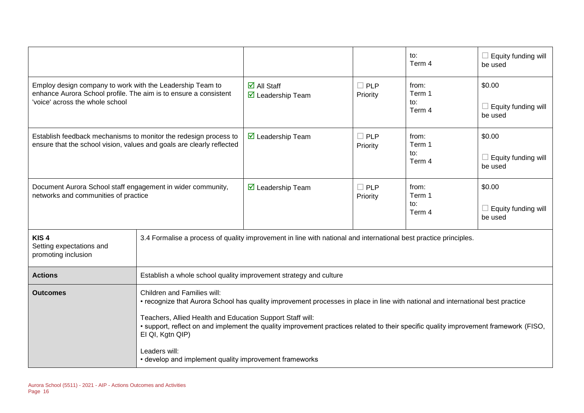|                                                                                                                                                                  |                                                                                                                                                                                                                                                                                                                                                                                         |                                                                                                                  |                           | to:<br>Term 4                    | $\Box$ Equity funding will<br>be used           |
|------------------------------------------------------------------------------------------------------------------------------------------------------------------|-----------------------------------------------------------------------------------------------------------------------------------------------------------------------------------------------------------------------------------------------------------------------------------------------------------------------------------------------------------------------------------------|------------------------------------------------------------------------------------------------------------------|---------------------------|----------------------------------|-------------------------------------------------|
| Employ design company to work with the Leadership Team to<br>enhance Aurora School profile. The aim is to ensure a consistent<br>'voice' across the whole school |                                                                                                                                                                                                                                                                                                                                                                                         | $\overline{\mathsf{d}}$ All Staff<br>$\overline{\mathbf{M}}$ Leadership Team                                     | $\Box$ PLP<br>Priority    | from:<br>Term 1<br>to:<br>Term 4 | \$0.00<br>Equity funding will<br>be used        |
| Establish feedback mechanisms to monitor the redesign process to<br>ensure that the school vision, values and goals are clearly reflected                        |                                                                                                                                                                                                                                                                                                                                                                                         | $\triangleright$ Leadership Team                                                                                 | $\Box$ PLP<br>Priority    | from:<br>Term 1<br>to:<br>Term 4 | \$0.00<br>$\Box$ Equity funding will<br>be used |
| Document Aurora School staff engagement in wider community,<br>networks and communities of practice                                                              |                                                                                                                                                                                                                                                                                                                                                                                         | $\triangleright$ Leadership Team                                                                                 | $\square$ PLP<br>Priority | from:<br>Term 1<br>to:<br>Term 4 | \$0.00<br>$\Box$ Equity funding will<br>be used |
| KIS <sub>4</sub><br>Setting expectations and<br>promoting inclusion                                                                                              |                                                                                                                                                                                                                                                                                                                                                                                         | 3.4 Formalise a process of quality improvement in line with national and international best practice principles. |                           |                                  |                                                 |
| <b>Actions</b>                                                                                                                                                   | Establish a whole school quality improvement strategy and culture                                                                                                                                                                                                                                                                                                                       |                                                                                                                  |                           |                                  |                                                 |
| <b>Outcomes</b>                                                                                                                                                  | Children and Families will:<br>• recognize that Aurora School has quality improvement processes in place in line with national and international best practice<br>Teachers, Allied Health and Education Support Staff will:<br>• support, reflect on and implement the quality improvement practices related to their specific quality improvement framework (FISO,<br>EI QI, Kgtn QIP) |                                                                                                                  |                           |                                  |                                                 |
|                                                                                                                                                                  | Leaders will:<br>• develop and implement quality improvement frameworks                                                                                                                                                                                                                                                                                                                 |                                                                                                                  |                           |                                  |                                                 |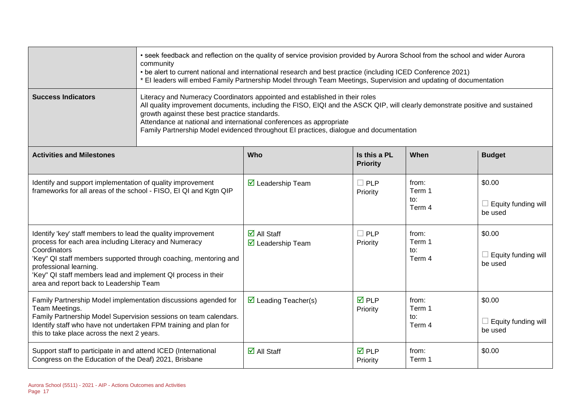|                                                                                                                                                                                                                                                                                                                                                 | • seek feedback and reflection on the quality of service provision provided by Aurora School from the school and wider Aurora<br>community<br>• be alert to current national and international research and best practice (including ICED Conference 2021)<br>* El leaders will embed Family Partnership Model through Team Meetings, Supervision and updating of documentation                                                |                                                                              |                                 |                                  |                                                 |  |  |
|-------------------------------------------------------------------------------------------------------------------------------------------------------------------------------------------------------------------------------------------------------------------------------------------------------------------------------------------------|--------------------------------------------------------------------------------------------------------------------------------------------------------------------------------------------------------------------------------------------------------------------------------------------------------------------------------------------------------------------------------------------------------------------------------|------------------------------------------------------------------------------|---------------------------------|----------------------------------|-------------------------------------------------|--|--|
| <b>Success Indicators</b>                                                                                                                                                                                                                                                                                                                       | Literacy and Numeracy Coordinators appointed and established in their roles<br>All quality improvement documents, including the FISO, EIQI and the ASCK QIP, will clearly demonstrate positive and sustained<br>growth against these best practice standards.<br>Attendance at national and international conferences as appropriate<br>Family Partnership Model evidenced throughout EI practices, dialogue and documentation |                                                                              |                                 |                                  |                                                 |  |  |
| <b>Activities and Milestones</b>                                                                                                                                                                                                                                                                                                                |                                                                                                                                                                                                                                                                                                                                                                                                                                | Who                                                                          | Is this a PL<br><b>Priority</b> | When                             | <b>Budget</b>                                   |  |  |
| Identify and support implementation of quality improvement<br>frameworks for all areas of the school - FISO, EI QI and Kgtn QIP                                                                                                                                                                                                                 |                                                                                                                                                                                                                                                                                                                                                                                                                                | $\overline{\mathbf{M}}$ Leadership Team                                      | $\square$ PLP<br>Priority       | from:<br>Term 1<br>to:<br>Term 4 | \$0.00<br>Equity funding will<br>be used        |  |  |
| Identify 'key' staff members to lead the quality improvement<br>process for each area including Literacy and Numeracy<br>Coordinators<br>'Key" QI staff members supported through coaching, mentoring and<br>professional learning.<br>'Key" QI staff members lead and implement QI process in their<br>area and report back to Leadership Team |                                                                                                                                                                                                                                                                                                                                                                                                                                | $\overline{\mathbf{M}}$ All Staff<br>$\overline{\mathbf{M}}$ Leadership Team | $\Box$ PLP<br>Priority          | from:<br>Term 1<br>to:<br>Term 4 | \$0.00<br>Equity funding will<br>be used        |  |  |
| Family Partnership Model implementation discussions agended for<br>Team Meetings.<br>Family Partnership Model Supervision sessions on team calendars.<br>Identify staff who have not undertaken FPM training and plan for<br>this to take place across the next 2 years.                                                                        |                                                                                                                                                                                                                                                                                                                                                                                                                                | $\triangleright$ Leading Teacher(s)                                          | $\overline{M}$ PLP<br>Priority  | from:<br>Term 1<br>to:<br>Term 4 | \$0.00<br>$\Box$ Equity funding will<br>be used |  |  |
| Support staff to participate in and attend ICED (International<br>Congress on the Education of the Deaf) 2021, Brisbane                                                                                                                                                                                                                         |                                                                                                                                                                                                                                                                                                                                                                                                                                | $\overline{\mathbf{d}}$ All Staff                                            | $\overline{M}$ PLP<br>Priority  | from:<br>Term 1                  | \$0.00                                          |  |  |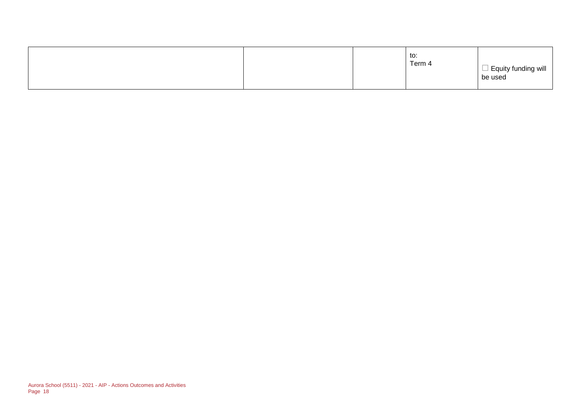|  |  |  | to:<br>Term 4 | $\Box$ Equity funding will<br>be used |
|--|--|--|---------------|---------------------------------------|
|--|--|--|---------------|---------------------------------------|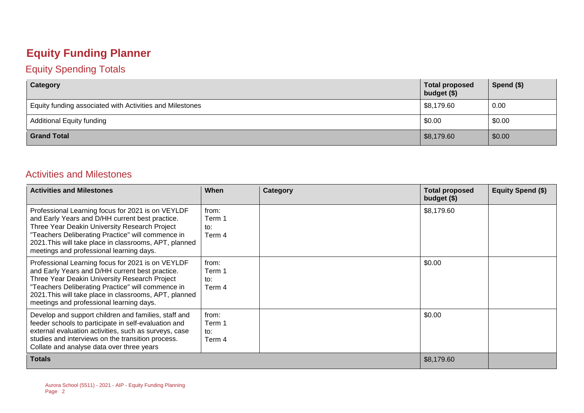## **Equity Funding Planner**

#### Equity Spending Totals

| Category                                                 | <b>Total proposed</b><br>budget (\$) | Spend $(\$)$ |
|----------------------------------------------------------|--------------------------------------|--------------|
| Equity funding associated with Activities and Milestones | \$8,179.60                           | 0.00         |
| <b>Additional Equity funding</b>                         | \$0.00                               | \$0.00       |
| <b>Grand Total</b>                                       | \$8,179.60                           | \$0.00       |

#### Activities and Milestones

| <b>Activities and Milestones</b>                                                                                                                                                                                                                                                                                 | When                             | Category | <b>Total proposed</b><br>budget $($)$ | Equity Spend (\$) |
|------------------------------------------------------------------------------------------------------------------------------------------------------------------------------------------------------------------------------------------------------------------------------------------------------------------|----------------------------------|----------|---------------------------------------|-------------------|
| Professional Learning focus for 2021 is on VEYLDF<br>and Early Years and D/HH current best practice.<br>Three Year Deakin University Research Project<br>"Teachers Deliberating Practice" will commence in<br>2021. This will take place in classrooms, APT, planned<br>meetings and professional learning days. | from:<br>Term 1<br>to:<br>Term 4 |          | \$8,179.60                            |                   |
| Professional Learning focus for 2021 is on VEYLDF<br>and Early Years and D/HH current best practice.<br>Three Year Deakin University Research Project<br>"Teachers Deliberating Practice" will commence in<br>2021. This will take place in classrooms, APT, planned<br>meetings and professional learning days. | from:<br>Term 1<br>to:<br>Term 4 |          | \$0.00                                |                   |
| Develop and support children and families, staff and<br>feeder schools to participate in self-evaluation and<br>external evaluation activities, such as surveys, case<br>studies and interviews on the transition process.<br>Collate and analyse data over three years                                          | from:<br>Term 1<br>to:<br>Term 4 |          | \$0.00                                |                   |
| <b>Totals</b>                                                                                                                                                                                                                                                                                                    |                                  |          | \$8,179.60                            |                   |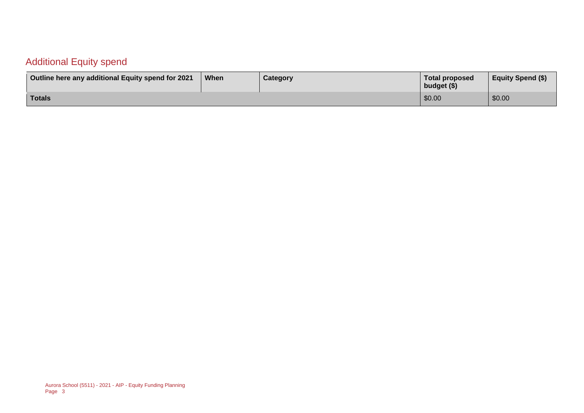### Additional Equity spend

| Outline here any additional Equity spend for 2021 | <b>When</b> | Category | Total proposed<br>budget (\$) | <b>Equity Spend (\$)</b> |
|---------------------------------------------------|-------------|----------|-------------------------------|--------------------------|
| Totals                                            |             |          | \$0.00                        | \$0.00                   |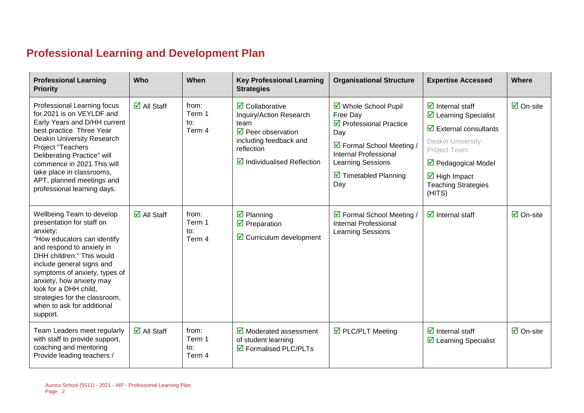### **Professional Learning and Development Plan**

| <b>Professional Learning</b><br><b>Priority</b>                                                                                                                                                                                                                                                                                                           | Who                               | When                             | <b>Key Professional Learning</b><br><b>Strategies</b>                                                                                                                                             | <b>Organisational Structure</b>                                                                                                                                                                                          | <b>Expertise Accessed</b>                                                                                                                                                                                                                                                                      | Where                          |
|-----------------------------------------------------------------------------------------------------------------------------------------------------------------------------------------------------------------------------------------------------------------------------------------------------------------------------------------------------------|-----------------------------------|----------------------------------|---------------------------------------------------------------------------------------------------------------------------------------------------------------------------------------------------|--------------------------------------------------------------------------------------------------------------------------------------------------------------------------------------------------------------------------|------------------------------------------------------------------------------------------------------------------------------------------------------------------------------------------------------------------------------------------------------------------------------------------------|--------------------------------|
| Professional Learning focus<br>for 2021 is on VEYLDF and<br>Early Years and D/HH current<br>best practice. Three Year<br>Deakin University Research<br>Project "Teachers<br><b>Deliberating Practice" will</b><br>commence in 2021. This will<br>take place in classrooms,<br>APT, planned meetings and<br>professional learning days.                    | $\overline{\mathbf{z}}$ All Staff | from:<br>Term 1<br>to:<br>Term 4 | $\overline{\mathbf{z}}$ Collaborative<br>Inquiry/Action Research<br>team<br>$\triangledown$ Peer observation<br>including feedback and<br>reflection<br>$\triangledown$ Individualised Reflection | ☑ Whole School Pupil<br>Free Day<br>$\triangledown$ Professional Practice<br>Day<br>☑ Formal School Meeting /<br><b>Internal Professional</b><br><b>Learning Sessions</b><br>$\triangleright$ Timetabled Planning<br>Day | $\overline{\mathbf{z}}$ Internal staff<br>$\triangleright$ Learning Specialist<br>$\overline{\mathbf{a}}$ External consultants<br>Deakin University<br><b>Project Team</b><br>$\triangledown$ Pedagogical Model<br>$\overline{\mathbf{M}}$ High Impact<br><b>Teaching Strategies</b><br>(HITS) | $\overline{\boxtimes}$ On-site |
| Wellbeing Team to develop<br>presentation for staff on<br>anxiety:<br>"How educators can identify<br>and respond to anxiety in<br>DHH children." This would<br>include general signs and<br>symptoms of anxiety, types of<br>anxiety, how anxiety may<br>look for a DHH child,<br>strategies for the classroom,<br>when to ask for additional<br>support. | $\overline{\Box}$ All Staff       | from:<br>Term 1<br>to:<br>Term 4 | $\overline{\mathbf{z}}$ Planning<br>$\triangledown$ Preparation<br>$\triangleright$ Curriculum development                                                                                        | ☑ Formal School Meeting /<br><b>Internal Professional</b><br>Learning Sessions                                                                                                                                           | $\overline{\mathcal{A}}$ Internal staff                                                                                                                                                                                                                                                        | $\boxtimes$ On-site            |
| Team Leaders meet regularly<br>with staff to provide support,<br>coaching and mentoring<br>Provide leading teachers /                                                                                                                                                                                                                                     | $\overline{\mathbf{M}}$ All Staff | from:<br>Term 1<br>to:<br>Term 4 | $\overline{\mathbf{M}}$ Moderated assessment<br>of student learning<br>☑ Formalised PLC/PLTs                                                                                                      | ☑ PLC/PLT Meeting                                                                                                                                                                                                        | $\overline{\mathbf{z}}$ Internal staff<br>$\triangleright$ Learning Specialist                                                                                                                                                                                                                 | $\overline{\Box}$ On-site      |